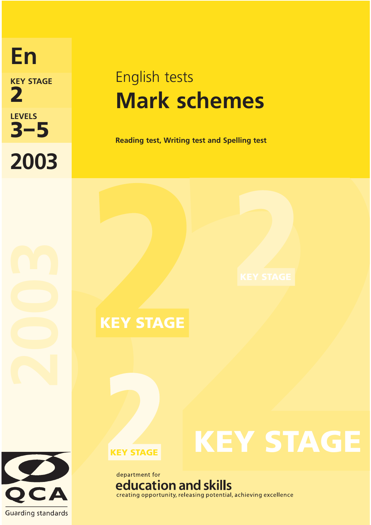**2003 2 KEY STAGE LEVELS En**

# English tests **Mark schemes**

**3 – 5 Reading test, Writing test and Spelling test** 

**KEY STAGE**

**KEY STAGE**



**KEY STAGE**

## department for education and skills creating opportunity, releasing potential, achieving excellence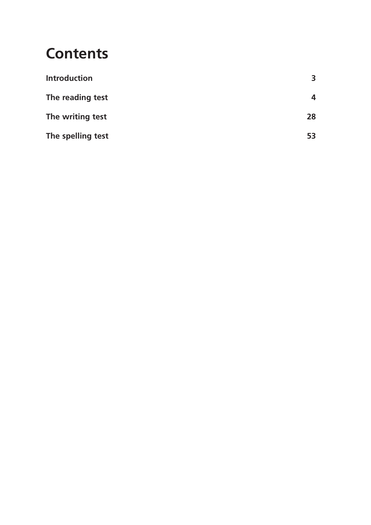## **Contents**

| <b>Introduction</b> | 3  |
|---------------------|----|
| The reading test    | 4  |
| The writing test    | 28 |
| The spelling test   | 53 |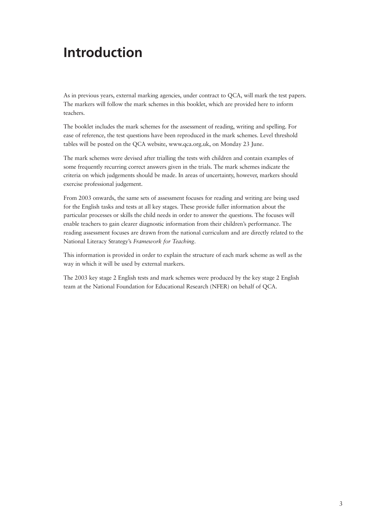## **Introduction**

As in previous years, external marking agencies, under contract to QCA, will mark the test papers. The markers will follow the mark schemes in this booklet, which are provided here to inform teachers.

The booklet includes the mark schemes for the assessment of reading, writing and spelling. For ease of reference, the test questions have been reproduced in the mark schemes. Level threshold tables will be posted on the QCA website, www.qca.org.uk, on Monday 23 June.

The mark schemes were devised after trialling the tests with children and contain examples of some frequently recurring correct answers given in the trials. The mark schemes indicate the criteria on which judgements should be made. In areas of uncertainty, however, markers should exercise professional judgement.

From 2003 onwards, the same sets of assessment focuses for reading and writing are being used for the English tasks and tests at all key stages. These provide fuller information about the particular processes or skills the child needs in order to answer the questions. The focuses will enable teachers to gain clearer diagnostic information from their children's performance. The reading assessment focuses are drawn from the national curriculum and are directly related to the National Literacy Strategy's *Framework for Teaching*.

This information is provided in order to explain the structure of each mark scheme as well as the way in which it will be used by external markers.

The 2003 key stage 2 English tests and mark schemes were produced by the key stage 2 English team at the National Foundation for Educational Research (NFER) on behalf of QCA.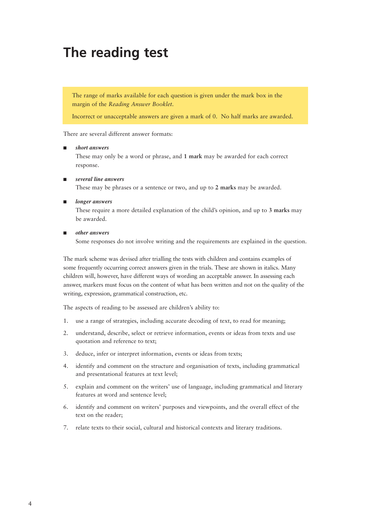## **The reading test**

The range of marks available for each question is given under the mark box in the margin of the *Reading Answer Booklet*.

Incorrect or unacceptable answers are given a mark of 0. No half marks are awarded.

There are several different answer formats:

### ■ *short answers*

These may only be a word or phrase, and **1 mark** may be awarded for each correct response.

#### ■ *several line answers*

These may be phrases or a sentence or two, and up to **2 marks** may be awarded.

#### ■ *longer answers*

These require a more detailed explanation of the child's opinion, and up to **3 marks** may be awarded.

#### ■ *other answers*

Some responses do not involve writing and the requirements are explained in the question.

The mark scheme was devised after trialling the tests with children and contains examples of some frequently occurring correct answers given in the trials. These are shown in italics. Many children will, however, have different ways of wording an acceptable answer. In assessing each answer, markers must focus on the content of what has been written and not on the quality of the writing, expression, grammatical construction, etc.

The aspects of reading to be assessed are children's ability to:

- 1. use a range of strategies, including accurate decoding of text, to read for meaning;
- 2. understand, describe, select or retrieve information, events or ideas from texts and use quotation and reference to text;
- 3. deduce, infer or interpret information, events or ideas from texts;
- 4. identify and comment on the structure and organisation of texts, including grammatical and presentational features at text level;
- 5. explain and comment on the writers' use of language, including grammatical and literary features at word and sentence level;
- 6. identify and comment on writers' purposes and viewpoints, and the overall effect of the text on the reader;
- 7. relate texts to their social, cultural and historical contexts and literary traditions.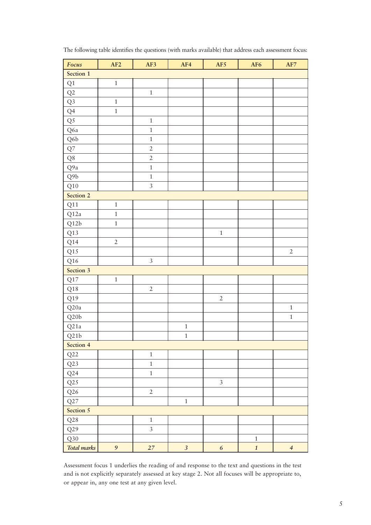| Focus                | AF2            | AF3            | AF4            | AF5              | AF <sub>6</sub>  | $\mathbf{AF7}$ |
|----------------------|----------------|----------------|----------------|------------------|------------------|----------------|
| Section 1            |                |                |                |                  |                  |                |
| $\mathrm{Q}1$        | $\,1\,$        |                |                |                  |                  |                |
| Q2                   |                | $\,1$          |                |                  |                  |                |
| Q <sub>3</sub>       | $\mathbf{1}$   |                |                |                  |                  |                |
| Q <sub>4</sub>       | $\,1$          |                |                |                  |                  |                |
| Q <sub>5</sub>       |                | $\,1\,$        |                |                  |                  |                |
| Q6a                  |                | $\mathbf 1$    |                |                  |                  |                |
| $\operatorname{Q6b}$ |                | $\,1$          |                |                  |                  |                |
| ${\cal Q}7$          |                | $\overline{2}$ |                |                  |                  |                |
| ${\bf Q}8$           |                | $\overline{2}$ |                |                  |                  |                |
| Q9a                  |                | $\mathbf{1}$   |                |                  |                  |                |
| $\rm Q9b$            |                | $\,1$          |                |                  |                  |                |
| $\rm Q10$            |                | $\overline{3}$ |                |                  |                  |                |
| Section 2            |                |                |                |                  |                  |                |
| $\rm Q11$            | $\,1\,$        |                |                |                  |                  |                |
| Q12a                 | $\,1\,$        |                |                |                  |                  |                |
| Q12b                 | $\,1$          |                |                |                  |                  |                |
| Q13                  |                |                |                | $\,1$            |                  |                |
| Q14                  | $\sqrt{2}$     |                |                |                  |                  |                |
| Q15                  |                |                |                |                  |                  | $\overline{2}$ |
| $\rm Q16$            |                | $\mathfrak{Z}$ |                |                  |                  |                |
| Section 3            |                |                |                |                  |                  |                |
| $\rm Q17$            | $\,1\,$        |                |                |                  |                  |                |
| $\rm Q18$            |                | $\overline{2}$ |                |                  |                  |                |
| $\rm Q19$            |                |                |                | $\overline{2}$   |                  |                |
| $\rm Q20a$           |                |                |                |                  |                  | $\,1\,$        |
| $\rm Q20b$           |                |                |                |                  |                  | $\,1\,$        |
| Q <sub>21</sub> a    |                |                | $\,1\,$        |                  |                  |                |
| Q21b                 |                |                | $\mathbf{1}$   |                  |                  |                |
| Section 4            |                |                |                |                  |                  |                |
| Q22                  |                | $\,1\,$        |                |                  |                  |                |
| Q23                  |                | $\overline{1}$ |                |                  |                  |                |
| Q24                  |                | $\overline{1}$ |                |                  |                  |                |
| Q25                  |                |                |                | $\overline{3}$   |                  |                |
| $\rm Q26$            |                | $\overline{2}$ |                |                  |                  |                |
| Q27                  |                |                | $\,1\,$        |                  |                  |                |
| Section 5            |                |                |                |                  |                  |                |
| Q28                  |                | $\,1\,$        |                |                  |                  |                |
| Q29                  |                | $\overline{3}$ |                |                  |                  |                |
| Q30                  |                |                |                |                  | $\,1\,$          |                |
| Total marks          | $\mathfrak{g}$ | $27\,$         | $\mathfrak{Z}$ | $\boldsymbol{6}$ | $\boldsymbol{1}$ | $\overline{4}$ |

The following table identifies the questions (with marks available) that address each assessment focus:

Assessment focus 1 underlies the reading of and response to the text and questions in the test and is not explicitly separately assessed at key stage 2. Not all focuses will be appropriate to, or appear in, any one test at any given level.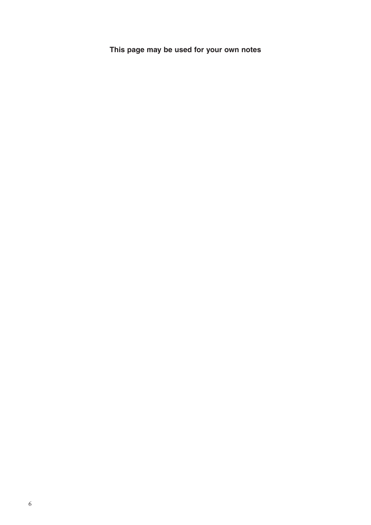**This page may be used for your own notes**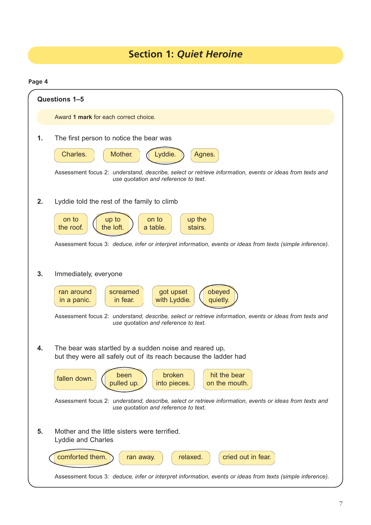## **Section 1:** *Quiet Heroine*

|    | Questions 1-5                                                                                                                                                                                                                                                                                                                                                                   |  |  |
|----|---------------------------------------------------------------------------------------------------------------------------------------------------------------------------------------------------------------------------------------------------------------------------------------------------------------------------------------------------------------------------------|--|--|
|    | Award 1 mark for each correct choice.                                                                                                                                                                                                                                                                                                                                           |  |  |
| 1. | The first person to notice the bear was<br>Charles.<br>Mother.<br>Lyddie.<br>Agnes.<br>Assessment focus 2: understand, describe, select or retrieve information, events or ideas from texts and<br>use quotation and reference to text.                                                                                                                                         |  |  |
| 2. | Lyddie told the rest of the family to climb<br>on to<br>up the<br>on to<br>up to<br>the roof.<br>a table.<br>stairs.<br>the loft.<br>Assessment focus 3: deduce, infer or interpret information, events or ideas from texts (simple inference).                                                                                                                                 |  |  |
| 3. | Immediately, everyone<br>got upset<br>screamed<br>obeyed<br>ran around<br>with Lyddie.<br>in fear.<br>in a panic.<br>quietly.<br>Assessment focus 2: understand, describe, select or retrieve information, events or ideas from texts and<br>use quotation and reference to text.                                                                                               |  |  |
| 4. | The bear was startled by a sudden noise and reared up,<br>but they were all safely out of its reach because the ladder had<br>broken<br>hit the bear<br>been<br>fallen down.<br>pulled up.<br>into pieces.<br>on the mouth.<br>Assessment focus 2: understand, describe, select or retrieve information, events or ideas from texts and<br>use quotation and reference to text. |  |  |
| 5. | Mother and the little sisters were terrified.<br><b>Lyddie and Charles</b><br>cried out in fear.<br>comforted them.<br>relaxed.<br>ran away.<br>Assessment focus 3: deduce, infer or interpret information, events or ideas from texts (simple inference).                                                                                                                      |  |  |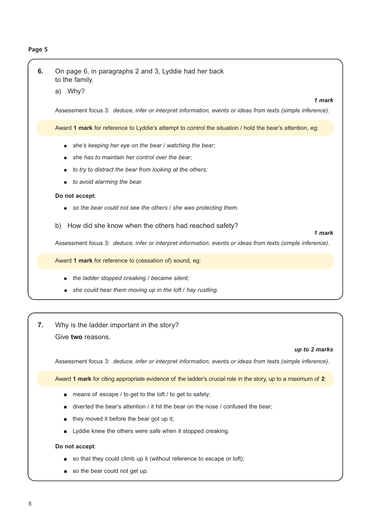### **Page 5**

| 6. | On page 6, in paragraphs 2 and 3, Lyddie had her back<br>to the family.<br>Why?<br>a)<br>1 mark                                                                                                    |
|----|----------------------------------------------------------------------------------------------------------------------------------------------------------------------------------------------------|
|    | Assessment focus 3: deduce, infer or interpret information, events or ideas from texts (simple inference).                                                                                         |
|    | Award 1 mark for reference to Lyddie's attempt to control the situation / hold the bear's attention, eg:                                                                                           |
|    | she's keeping her eye on the bear / watching the bear;<br>she has to maintain her control over the bear;<br>to try to distract the bear from looking at the others;<br>to avoid alarming the bear. |
|    | Do not accept:<br>so the bear could not see the others / she was protecting them.                                                                                                                  |
|    | How did she know when the others had reached safety?<br>b)<br>1 mark<br>Assessment focus 3: deduce, infer or interpret information, events or ideas from texts (simple inference).                 |
|    | Award 1 mark for reference to (cessation of) sound, eg:                                                                                                                                            |
|    | the ladder stopped creaking / became silent;<br>she could hear them moving up in the loft / hay rustling.                                                                                          |
|    |                                                                                                                                                                                                    |
| 7. | Why is the ladder important in the story?<br>Give two reasons.<br>up to 2 marks                                                                                                                    |
|    | Assessment focus 3: deduce, infer or interpret information, events or ideas from texts (simple inference).                                                                                         |
|    | Award 1 mark for citing appropriate evidence of the ladder's crucial role in the story, up to a maximum of 2:                                                                                      |

- means of escape / to get to the loft / to get to safety;
- diverted the bear's attention / it hit the bear on the nose / confused the bear;
- they moved it before the bear got up it;
- Lyddie knew the others were safe when it stopped creaking.

### **Do not accept**:

- so that they could climb up it (without reference to escape or loft);
- so the bear could not get up.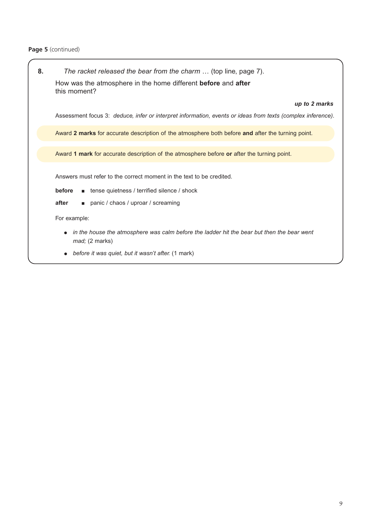## **Page 5** (continued)

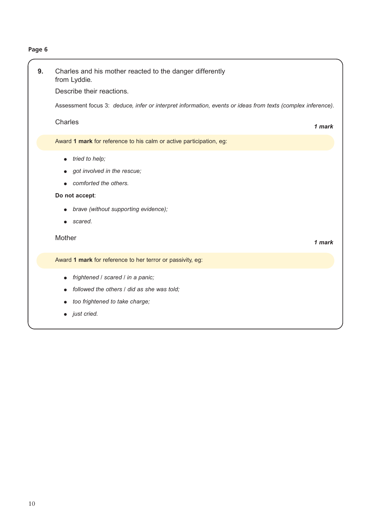## **Page 6**

| 9. | Charles and his mother reacted to the danger differently<br>from Lyddie.<br>Describe their reactions.<br>Assessment focus 3: deduce, infer or interpret information, events or ideas from texts (complex inference).<br><b>Charles</b> | 1 mark |
|----|----------------------------------------------------------------------------------------------------------------------------------------------------------------------------------------------------------------------------------------|--------|
|    | Award 1 mark for reference to his calm or active participation, eg:                                                                                                                                                                    |        |
|    | tried to help;<br>$\bullet$<br>got involved in the rescue;<br>comforted the others.<br>Do not accept:<br>brave (without supporting evidence);<br>scared.<br>$\bullet$<br>Mother                                                        | 1 mark |
|    | Award 1 mark for reference to her terror or passivity, eg:                                                                                                                                                                             |        |
|    | frightened / scared / in a panic;<br>$\bullet$<br>followed the others / did as she was told:<br>too frightened to take charge;                                                                                                         |        |

● *just cried.*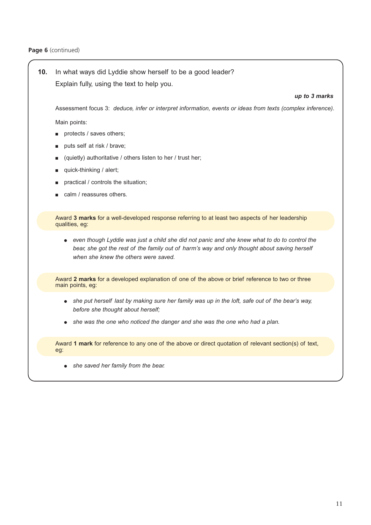## **10.** In what ways did Lyddie show herself to be a good leader? Explain fully, using the text to help you.

### *up to 3 marks*

Assessment focus 3: *deduce, infer or interpret information, events or ideas from texts (complex inference).*

Main points:

- protects / saves others;
- puts self at risk / brave;
- (quietly) authoritative / others listen to her / trust her;
- quick-thinking / alert;
- practical / controls the situation;
- calm / reassures others.

Award **3 marks** for a well-developed response referring to at least two aspects of her leadership qualities, eg:

● even though Lyddie was just a child she did not panic and she knew what to do to control the *bear, she got the rest of the family out of harm's way and only thought about saving herself when she knew the others were saved.*

Award **2 marks** for a developed explanation of one of the above or brief reference to two or three main points, eg:

- *she put herself last by making sure her family was up in the loft, safe out of the bear's way, before she thought about herself;*
- *she was the one who noticed the danger and she was the one who had a plan.*

Award **1 mark** for reference to any one of the above or direct quotation of relevant section(s) of text, eg:

● *she saved her family from the bear.*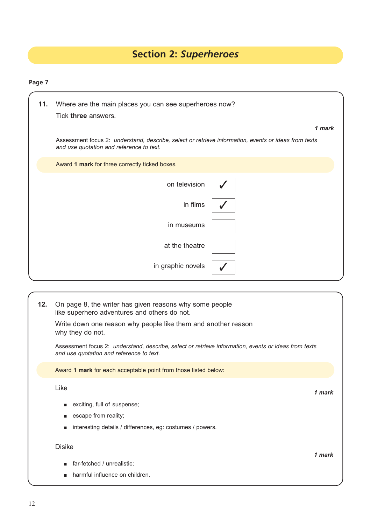## **Section 2:** *Superheroes*

| 11. | Where are the main places you can see superheroes now?                                                                                           |        |
|-----|--------------------------------------------------------------------------------------------------------------------------------------------------|--------|
|     | Tick three answers.                                                                                                                              |        |
|     |                                                                                                                                                  | 1 mark |
|     | Assessment focus 2: understand, describe, select or retrieve information, events or ideas from texts<br>and use quotation and reference to text. |        |
|     | Award 1 mark for three correctly ticked boxes.                                                                                                   |        |
|     | on television                                                                                                                                    |        |
|     | in films                                                                                                                                         |        |
|     | in museums                                                                                                                                       |        |
|     | at the theatre                                                                                                                                   |        |
|     | in graphic novels                                                                                                                                |        |
|     |                                                                                                                                                  |        |

| 12. | On page 8, the writer has given reasons why some people<br>like superhero adventures and others do not.                                          |        |
|-----|--------------------------------------------------------------------------------------------------------------------------------------------------|--------|
|     | Write down one reason why people like them and another reason<br>why they do not.                                                                |        |
|     | Assessment focus 2: understand, describe, select or retrieve information, events or ideas from texts<br>and use quotation and reference to text. |        |
|     | Award 1 mark for each acceptable point from those listed below:                                                                                  |        |
|     | Like                                                                                                                                             | 1 mark |
|     | exciting, full of suspense;                                                                                                                      |        |
|     | escape from reality;<br>п                                                                                                                        |        |
|     | interesting details / differences, eg: costumes / powers.<br>п                                                                                   |        |
|     | <b>Disike</b>                                                                                                                                    | 1 mark |
|     | far-fetched / unrealistic;<br>п                                                                                                                  |        |
|     | harmful influence on children.                                                                                                                   |        |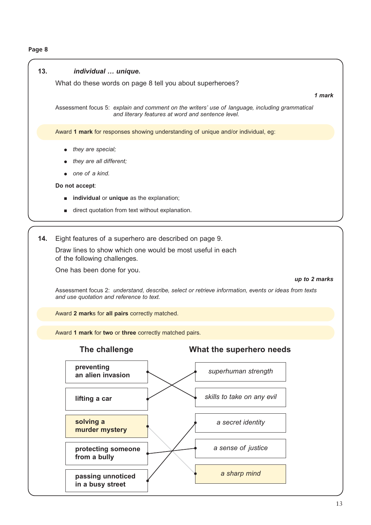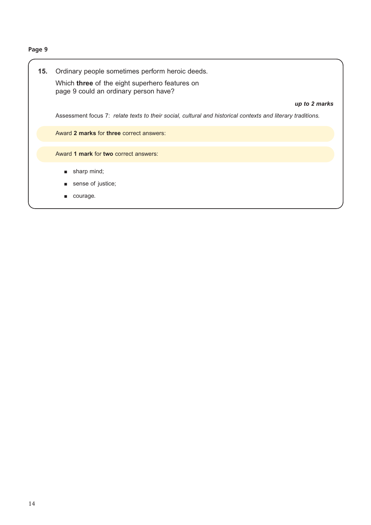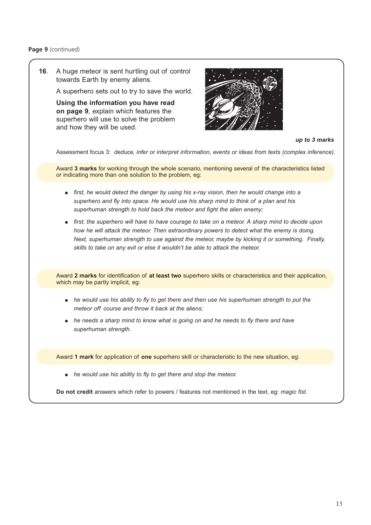### **Page 9** (continued)

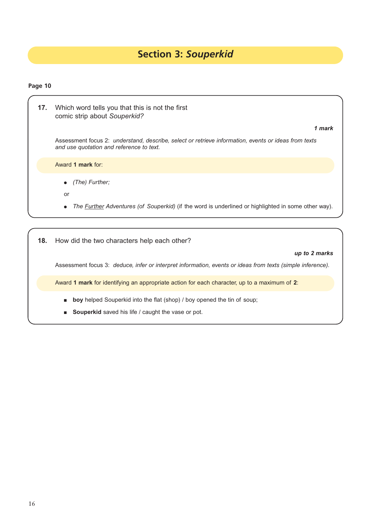## **Section 3:** *Souperkid*

## **Page 10**

| 17. | Which word tells you that this is not the first<br>comic strip about Souperkid?                                                                  |
|-----|--------------------------------------------------------------------------------------------------------------------------------------------------|
|     | 1 mark                                                                                                                                           |
|     | Assessment focus 2: understand, describe, select or retrieve information, events or ideas from texts<br>and use quotation and reference to text. |
|     | Award 1 mark for:                                                                                                                                |
|     | (The) Further;<br>$\bullet$                                                                                                                      |
|     | or                                                                                                                                               |
|     | The <i>Further Adventures (of Souperkid)</i> (if the word is underlined or highlighted in some other way).                                       |
|     |                                                                                                                                                  |
| 18. | How did the two characters help each other?                                                                                                      |

*up to 2 marks*

Assessment focus 3: *deduce, infer or interpret information, events or ideas from texts (simple inference).*

Award **1 mark** for identifying an appropriate action for each character, up to a maximum of **2**:

- **boy** helped Souperkid into the flat (shop) / boy opened the tin of soup;
- **Souperkid** saved his life / caught the vase or pot.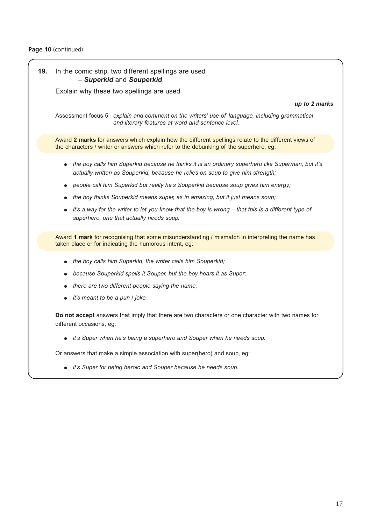

● *it's Super for being heroic and Souper because he needs soup.*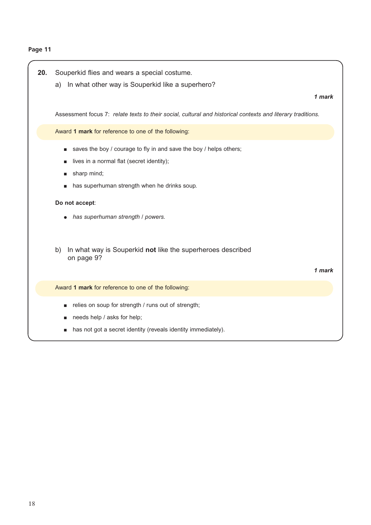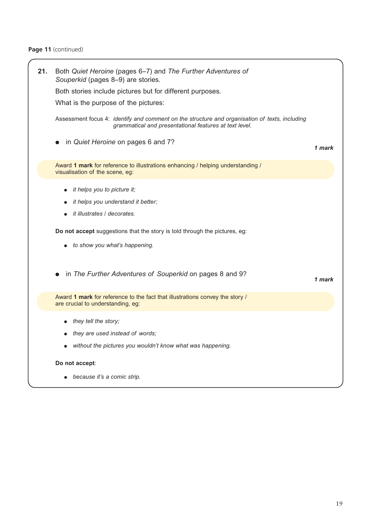## Page 11 (continued)

| 21. | Both Quiet Heroine (pages 6–7) and The Further Adventures of<br>Souperkid (pages 8-9) are stories.                                                       |        |
|-----|----------------------------------------------------------------------------------------------------------------------------------------------------------|--------|
|     | Both stories include pictures but for different purposes.                                                                                                |        |
|     | What is the purpose of the pictures:                                                                                                                     |        |
|     | Assessment focus 4: identify and comment on the structure and organisation of texts, including<br>grammatical and presentational features at text level. |        |
|     | in Quiet Heroine on pages 6 and 7?                                                                                                                       | 1 mark |
|     | Award 1 mark for reference to illustrations enhancing / helping understanding /<br>visualisation of the scene, eg:                                       |        |
|     | it helps you to picture it;                                                                                                                              |        |
|     | it helps you understand it better;                                                                                                                       |        |
|     | it illustrates / decorates.                                                                                                                              |        |
|     | Do not accept suggestions that the story is told through the pictures, eg:<br>to show you what's happening.                                              |        |
|     | in The Further Adventures of Souperkid on pages 8 and 9?                                                                                                 | 1 mark |
|     | Award 1 mark for reference to the fact that illustrations convey the story /<br>are crucial to understanding, eg:                                        |        |
|     | they tell the story;                                                                                                                                     |        |
|     | they are used instead of words;                                                                                                                          |        |
|     | without the pictures you wouldn't know what was happening.                                                                                               |        |
|     | Do not accept:                                                                                                                                           |        |
|     | • because it's a comic strip.                                                                                                                            |        |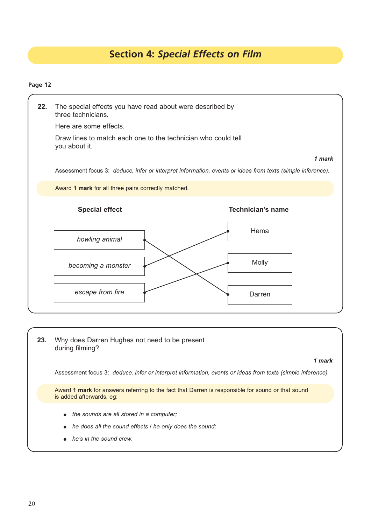## **Section 4:** *Special Effects on Film*

| 22. | The special effects you have read about were described by<br>three technicians. |                                                                                                            |
|-----|---------------------------------------------------------------------------------|------------------------------------------------------------------------------------------------------------|
|     | Here are some effects.                                                          |                                                                                                            |
|     | Draw lines to match each one to the technician who could tell<br>you about it.  |                                                                                                            |
|     |                                                                                 | 1 mark                                                                                                     |
|     |                                                                                 | Assessment focus 3: deduce, infer or interpret information, events or ideas from texts (simple inference). |
|     | Award 1 mark for all three pairs correctly matched.                             |                                                                                                            |
|     | <b>Special effect</b>                                                           | <b>Technician's name</b>                                                                                   |
|     | howling animal                                                                  | Hema                                                                                                       |
|     | becoming a monster                                                              | Molly                                                                                                      |
|     | escape from fire                                                                | Darren                                                                                                     |

| 23. | Why does Darren Hughes not need to be present<br>during filming?                                                              |
|-----|-------------------------------------------------------------------------------------------------------------------------------|
|     | 1 mark                                                                                                                        |
|     | Assessment focus 3: deduce, infer or interpret information, events or ideas from texts (simple inference).                    |
|     | Award 1 mark for answers referring to the fact that Darren is responsible for sound or that sound<br>is added afterwards, eq: |
|     | $\bullet$ the sounds are all stored in a computer;                                                                            |
|     | he does all the sound effects / he only does the sound:                                                                       |
|     | $\bullet$ he's in the sound crew.                                                                                             |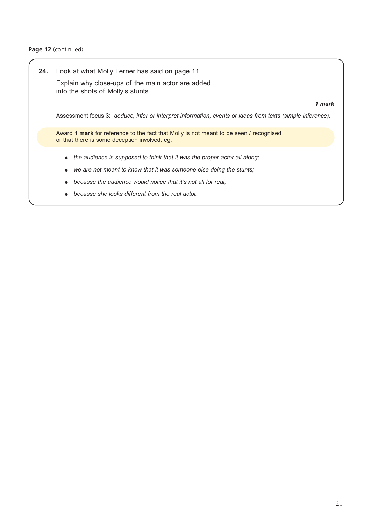### **Page 12** (continued)

**24.** Look at what Molly Lerner has said on page 11. Explain why close-ups of the main actor are added into the shots of Molly's stunts.

#### *1 mark*

Assessment focus 3: *deduce, infer or interpret information, events or ideas from texts (simple inference).*

Award **1 mark** for reference to the fact that Molly is not meant to be seen / recognised or that there is some deception involved, eg:

- *the audience is supposed to think that it was the proper actor all along;*
- we are not meant to know that it was someone else doing the stunts;
- *because the audience would notice that it's not all for real;*
- *because she looks different from the real actor.*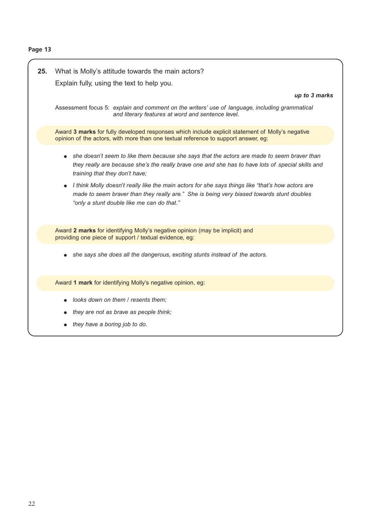| 25. | What is Molly's attitude towards the main actors?<br>Explain fully, using the text to help you.                                                                                                                                              |
|-----|----------------------------------------------------------------------------------------------------------------------------------------------------------------------------------------------------------------------------------------------|
|     | up to 3 marks<br>Assessment focus 5: explain and comment on the writers' use of language, including grammatical<br>and literary features at word and sentence level.                                                                         |
|     | Award 3 marks for fully developed responses which include explicit statement of Molly's negative<br>opinion of the actors, with more than one textual reference to support answer, eg:                                                       |
|     | she doesn't seem to like them because she says that the actors are made to seem braver than<br>they really are because she's the really brave one and she has to have lots of special skills and<br>training that they don't have;           |
|     | I think Molly doesn't really like the main actors for she says things like "that's how actors are<br>made to seem braver than they really are." She is being very biased towards stunt doubles<br>"only a stunt double like me can do that." |
|     | Award 2 marks for identifying Molly's negative opinion (may be implicit) and<br>providing one piece of support / textual evidence, eg:                                                                                                       |
|     | she says she does all the dangerous, exciting stunts instead of the actors.                                                                                                                                                                  |
|     | Award 1 mark for identifying Molly's negative opinion, eg:                                                                                                                                                                                   |
|     | looks down on them / resents them;<br>they are not as brave as people think;<br>they have a boring job to do.                                                                                                                                |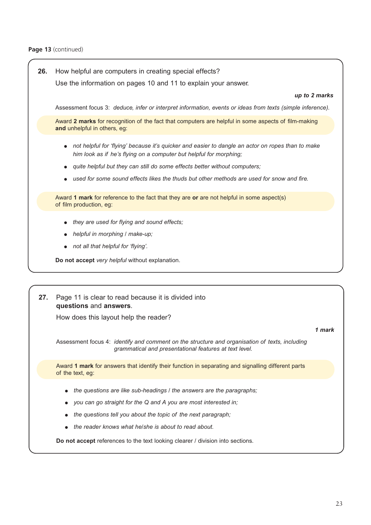Page 13 (continued)

| 26. | How helpful are computers in creating special effects?                                                                                                                  |  |  |
|-----|-------------------------------------------------------------------------------------------------------------------------------------------------------------------------|--|--|
|     | Use the information on pages 10 and 11 to explain your answer.                                                                                                          |  |  |
|     | up to 2 marks                                                                                                                                                           |  |  |
|     | Assessment focus 3: deduce, infer or interpret information, events or ideas from texts (simple inference).                                                              |  |  |
|     | Award 2 marks for recognition of the fact that computers are helpful in some aspects of film-making<br>and unhelpful in others, eg:                                     |  |  |
|     | not helpful for 'flying' because it's quicker and easier to dangle an actor on ropes than to make<br>him look as if he's flying on a computer but helpful for morphing; |  |  |
|     | quite helpful but they can still do some effects better without computers;                                                                                              |  |  |
|     | used for some sound effects likes the thuds but other methods are used for snow and fire.                                                                               |  |  |
|     | Award 1 mark for reference to the fact that they are or are not helpful in some aspect(s)<br>of film production, eg:                                                    |  |  |
|     | they are used for flying and sound effects;                                                                                                                             |  |  |
|     | helpful in morphing / make-up;                                                                                                                                          |  |  |
|     | not all that helpful for 'flying'.                                                                                                                                      |  |  |
|     | Do not accept very helpful without explanation.                                                                                                                         |  |  |
|     |                                                                                                                                                                         |  |  |
|     |                                                                                                                                                                         |  |  |
| 27. | Page 11 is clear to read because it is divided into<br>questions and answers.                                                                                           |  |  |
|     | How does this layout help the reader?                                                                                                                                   |  |  |
|     | 1 mark                                                                                                                                                                  |  |  |
|     | Assessment focus 4: identify and comment on the structure and organisation of texts, including<br>grammatical and presentational features at text level.                |  |  |
|     | Award 1 mark for answers that identify their function in separating and signalling different parts<br>of the text, eg:                                                  |  |  |
|     | the questions are like sub-headings / the answers are the paragraphs;                                                                                                   |  |  |
|     | you can go straight for the Q and A you are most interested in;                                                                                                         |  |  |
|     | the questions tell you about the topic of the next paragraph;                                                                                                           |  |  |
|     | the reader knows what he/she is about to read about.                                                                                                                    |  |  |
|     | Do not accept references to the text looking clearer / division into sections.                                                                                          |  |  |
|     |                                                                                                                                                                         |  |  |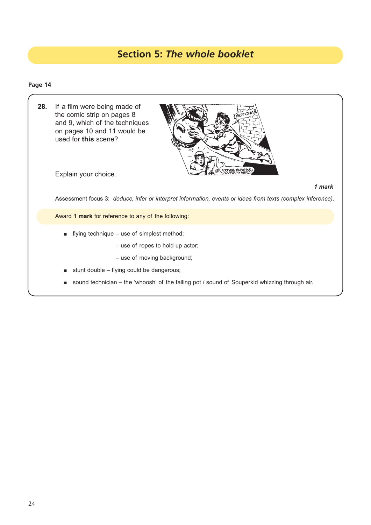## **Section 5:** *The whole booklet*

## **Page 14**

| 28. | If a film were being made of<br>GOTCH<br>the comic strip on pages 8<br>and 9, which of the techniques<br>on pages 10 and 11 would be<br>used for this scene?<br>THANKS, SUPERKID!<br>TYOU'RE MY HERO!<br>Explain your choice. |
|-----|-------------------------------------------------------------------------------------------------------------------------------------------------------------------------------------------------------------------------------|
|     | 1 mark                                                                                                                                                                                                                        |
|     | Assessment focus 3: deduce, infer or interpret information, events or ideas from texts (complex inference).                                                                                                                   |
|     | Award 1 mark for reference to any of the following:                                                                                                                                                                           |
|     | flying technique – use of simplest method;<br>п                                                                                                                                                                               |
|     | $-$ use of ropes to hold up actor;                                                                                                                                                                                            |
|     | - use of moving background;                                                                                                                                                                                                   |
|     | stunt double - flying could be dangerous;<br>п                                                                                                                                                                                |

■ sound technician – the 'whoosh' of the falling pot / sound of Souperkid whizzing through air.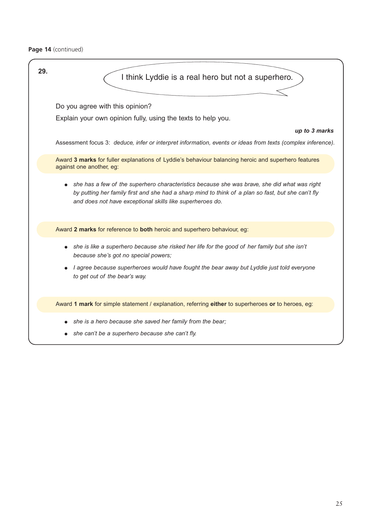Page 14 (continued)

| 29. | I think Lyddie is a real hero but not a superhero.                                                                                                                                                                                                              |
|-----|-----------------------------------------------------------------------------------------------------------------------------------------------------------------------------------------------------------------------------------------------------------------|
|     | Do you agree with this opinion?<br>Explain your own opinion fully, using the texts to help you.                                                                                                                                                                 |
|     | up to 3 marks<br>Assessment focus 3: deduce, infer or interpret information, events or ideas from texts (complex inference).                                                                                                                                    |
|     | Award 3 marks for fuller explanations of Lyddie's behaviour balancing heroic and superhero features<br>against one another, eg:                                                                                                                                 |
|     | she has a few of the superhero characteristics because she was brave, she did what was right<br>by putting her family first and she had a sharp mind to think of a plan so fast, but she can't fly<br>and does not have exceptional skills like superheroes do. |
|     | Award 2 marks for reference to both heroic and superhero behaviour, eg:                                                                                                                                                                                         |
|     | she is like a superhero because she risked her life for the good of her family but she isn't<br>because she's got no special powers;                                                                                                                            |
|     | I agree because superheroes would have fought the bear away but Lyddie just told everyone<br>to get out of the bear's way.                                                                                                                                      |
|     | Award 1 mark for simple statement / explanation, referring either to superheroes or to heroes, eg:                                                                                                                                                              |
|     | she is a hero because she saved her family from the bear;<br>$\bullet$<br>she can't be a superhero because she can't fly.                                                                                                                                       |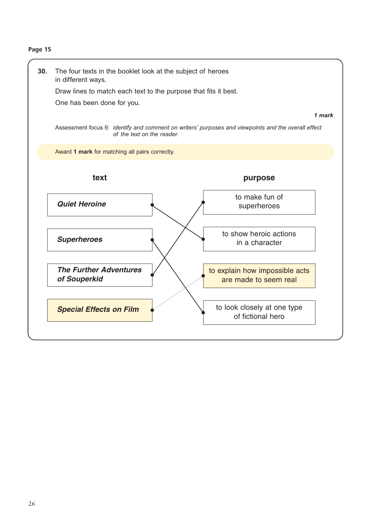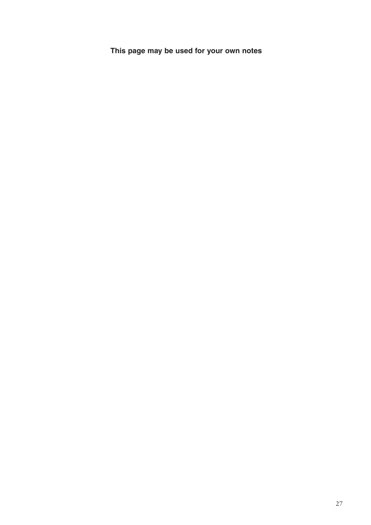**This page may be used for your own notes**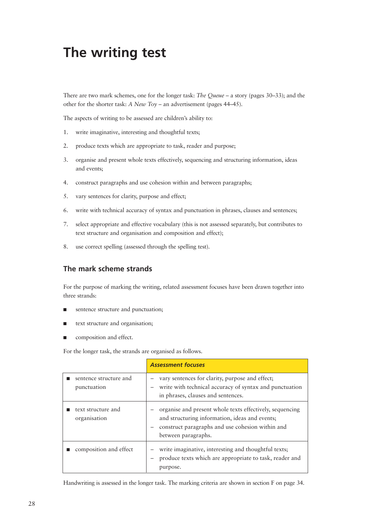## **The writing test**

There are two mark schemes, one for the longer task: *The Queue* – a story (pages 30–33); and the other for the shorter task: *A New Toy* – an advertisement (pages 44–45).

The aspects of writing to be assessed are children's ability to:

- 1. write imaginative, interesting and thoughtful texts;
- 2. produce texts which are appropriate to task, reader and purpose;
- 3. organise and present whole texts effectively, sequencing and structuring information, ideas and events;
- 4. construct paragraphs and use cohesion within and between paragraphs;
- 5. vary sentences for clarity, purpose and effect;
- 6. write with technical accuracy of syntax and punctuation in phrases, clauses and sentences;
- 7. select appropriate and effective vocabulary (this is not assessed separately, but contributes to text structure and organisation and composition and effect);
- 8. use correct spelling (assessed through the spelling test).

## **The mark scheme strands**

For the purpose of marking the writing, related assessment focuses have been drawn together into three strands:

- sentence structure and punctuation;
- text structure and organisation;
- composition and effect.

For the longer task, the strands are organised as follows.

|                                       | <b>Assessment focuses</b>                                                                                                                                                               |
|---------------------------------------|-----------------------------------------------------------------------------------------------------------------------------------------------------------------------------------------|
| sentence structure and<br>punctuation | vary sentences for clarity, purpose and effect;<br>write with technical accuracy of syntax and punctuation                                                                              |
|                                       | in phrases, clauses and sentences.                                                                                                                                                      |
| text structure and<br>organisation    | - organise and present whole texts effectively, sequencing<br>and structuring information, ideas and events;<br>construct paragraphs and use cohesion within and<br>between paragraphs. |
| composition and effect                | write imaginative, interesting and thoughtful texts;<br>produce texts which are appropriate to task, reader and<br>purpose.                                                             |

Handwriting is assessed in the longer task. The marking criteria are shown in section F on page 34.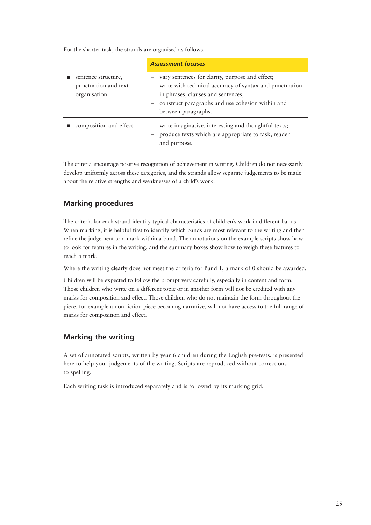For the shorter task, the strands are organised as follows.

|                                                             | <b>Assessment focuses</b>                                                                                                                                                                                                   |
|-------------------------------------------------------------|-----------------------------------------------------------------------------------------------------------------------------------------------------------------------------------------------------------------------------|
| sentence structure,<br>punctuation and text<br>organisation | vary sentences for clarity, purpose and effect;<br>write with technical accuracy of syntax and punctuation<br>in phrases, clauses and sentences;<br>construct paragraphs and use cohesion within and<br>between paragraphs. |
| composition and effect                                      | write imaginative, interesting and thoughtful texts;<br>produce texts which are appropriate to task, reader<br>and purpose.                                                                                                 |

The criteria encourage positive recognition of achievement in writing. Children do not necessarily develop uniformly across these categories, and the strands allow separate judgements to be made about the relative strengths and weaknesses of a child's work.

## **Marking procedures**

The criteria for each strand identify typical characteristics of children's work in different bands. When marking, it is helpful first to identify which bands are most relevant to the writing and then refine the judgement to a mark within a band. The annotations on the example scripts show how to look for features in the writing, and the summary boxes show how to weigh these features to reach a mark.

Where the writing **clearly** does not meet the criteria for Band 1, a mark of 0 should be awarded.

Children will be expected to follow the prompt very carefully, especially in content and form. Those children who write on a different topic or in another form will not be credited with any marks for composition and effect. Those children who do not maintain the form throughout the piece, for example a non-fiction piece becoming narrative, will not have access to the full range of marks for composition and effect.

## **Marking the writing**

A set of annotated scripts, written by year 6 children during the English pre-tests, is presented here to help your judgements of the writing. Scripts are reproduced without corrections to spelling.

Each writing task is introduced separately and is followed by its marking grid.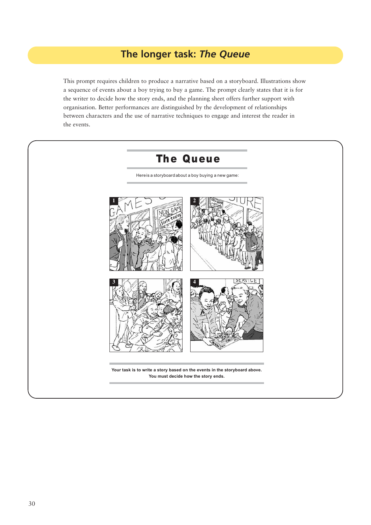## **The longer task:** *The Queue*

This prompt requires children to produce a narrative based on a storyboard. Illustrations show a sequence of events about a boy trying to buy a game. The prompt clearly states that it is for the writer to decide how the story ends, and the planning sheet offers further support with organisation. Better performances are distinguished by the development of relationships between characters and the use of narrative techniques to engage and interest the reader in the events.

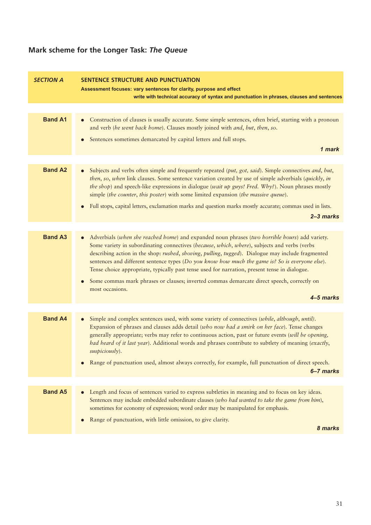## **Mark scheme for the Longer Task:** *The Queue*

| <b>SECTION A</b>                                                                                                                                                                                                                                                                                                                                                                                                             | <b>SENTENCE STRUCTURE AND PUNCTUATION</b><br>Assessment focuses: vary sentences for clarity, purpose and effect<br>write with technical accuracy of syntax and punctuation in phrases, clauses and sentences                                                                                                                                                                                                                                                                                            |  |  |
|------------------------------------------------------------------------------------------------------------------------------------------------------------------------------------------------------------------------------------------------------------------------------------------------------------------------------------------------------------------------------------------------------------------------------|---------------------------------------------------------------------------------------------------------------------------------------------------------------------------------------------------------------------------------------------------------------------------------------------------------------------------------------------------------------------------------------------------------------------------------------------------------------------------------------------------------|--|--|
|                                                                                                                                                                                                                                                                                                                                                                                                                              |                                                                                                                                                                                                                                                                                                                                                                                                                                                                                                         |  |  |
| <b>Band A1</b>                                                                                                                                                                                                                                                                                                                                                                                                               | Construction of clauses is usually accurate. Some simple sentences, often brief, starting with a pronoun<br>$\bullet$<br>and verb (he went back home). Clauses mostly joined with and, but, then, so.                                                                                                                                                                                                                                                                                                   |  |  |
|                                                                                                                                                                                                                                                                                                                                                                                                                              | Sentences sometimes demarcated by capital letters and full stops.                                                                                                                                                                                                                                                                                                                                                                                                                                       |  |  |
|                                                                                                                                                                                                                                                                                                                                                                                                                              | 1 mark                                                                                                                                                                                                                                                                                                                                                                                                                                                                                                  |  |  |
|                                                                                                                                                                                                                                                                                                                                                                                                                              |                                                                                                                                                                                                                                                                                                                                                                                                                                                                                                         |  |  |
| <b>Band A2</b><br>Subjects and verbs often simple and frequently repeated (put, got, said). Simple connectives and, but,<br>then, so, when link clauses. Some sentence variation created by use of simple adverbials (quickly, in<br>the shop) and speech-like expressions in dialogue (wait up guys! Fred. Why?). Noun phrases mostly<br>simple (the counter, this poster) with some limited expansion (the massive queue). |                                                                                                                                                                                                                                                                                                                                                                                                                                                                                                         |  |  |
|                                                                                                                                                                                                                                                                                                                                                                                                                              | Full stops, capital letters, exclamation marks and question marks mostly accurate; commas used in lists.<br>$2 - 3$ marks                                                                                                                                                                                                                                                                                                                                                                               |  |  |
|                                                                                                                                                                                                                                                                                                                                                                                                                              |                                                                                                                                                                                                                                                                                                                                                                                                                                                                                                         |  |  |
| <b>Band A3</b>                                                                                                                                                                                                                                                                                                                                                                                                               | Adverbials (when she reached home) and expanded noun phrases (two horrible hours) add variety.<br>Some variety in subordinating connectives (because, which, where), subjects and verbs (verbs<br>describing action in the shop: rushed, shoving, pulling, tugged). Dialogue may include fragmented<br>sentences and different sentence types (Do you know how much the game is? So is everyone else).<br>Tense choice appropriate, typically past tense used for narration, present tense in dialogue. |  |  |
|                                                                                                                                                                                                                                                                                                                                                                                                                              | Some commas mark phrases or clauses; inverted commas demarcate direct speech, correctly on<br>most occasions.                                                                                                                                                                                                                                                                                                                                                                                           |  |  |
|                                                                                                                                                                                                                                                                                                                                                                                                                              | 4-5 marks                                                                                                                                                                                                                                                                                                                                                                                                                                                                                               |  |  |
|                                                                                                                                                                                                                                                                                                                                                                                                                              |                                                                                                                                                                                                                                                                                                                                                                                                                                                                                                         |  |  |
| <b>Band A4</b>                                                                                                                                                                                                                                                                                                                                                                                                               | Simple and complex sentences used, with some variety of connectives (while, although, until).<br>Expansion of phrases and clauses adds detail (who now had a smirk on her face). Tense changes<br>generally appropriate; verbs may refer to continuous action, past or future events (will be opening,<br>had heard of it last year). Additional words and phrases contribute to subtlety of meaning (exactly,<br>$suspiciously)$ .                                                                     |  |  |
|                                                                                                                                                                                                                                                                                                                                                                                                                              | Range of punctuation used, almost always correctly, for example, full punctuation of direct speech.                                                                                                                                                                                                                                                                                                                                                                                                     |  |  |
|                                                                                                                                                                                                                                                                                                                                                                                                                              | 6-7 marks                                                                                                                                                                                                                                                                                                                                                                                                                                                                                               |  |  |
| <b>Band A5</b>                                                                                                                                                                                                                                                                                                                                                                                                               | Length and focus of sentences varied to express subtleties in meaning and to focus on key ideas.<br>Sentences may include embedded subordinate clauses (who had wanted to take the game from him),<br>sometimes for economy of expression; word order may be manipulated for emphasis.                                                                                                                                                                                                                  |  |  |
|                                                                                                                                                                                                                                                                                                                                                                                                                              | Range of punctuation, with little omission, to give clarity.<br>8 marks                                                                                                                                                                                                                                                                                                                                                                                                                                 |  |  |
|                                                                                                                                                                                                                                                                                                                                                                                                                              |                                                                                                                                                                                                                                                                                                                                                                                                                                                                                                         |  |  |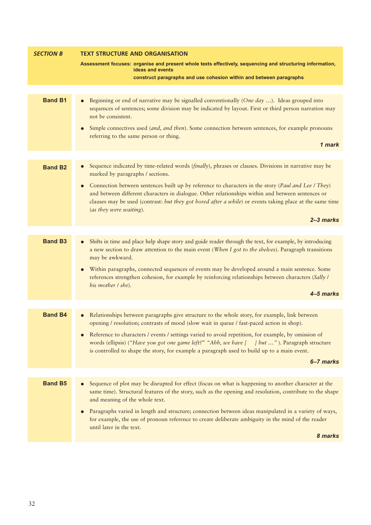| <b>SECTION B</b> | <b>TEXT STRUCTURE AND ORGANISATION</b>                                                                                                                                                                                                                                                                                                                                              |  |  |
|------------------|-------------------------------------------------------------------------------------------------------------------------------------------------------------------------------------------------------------------------------------------------------------------------------------------------------------------------------------------------------------------------------------|--|--|
|                  | Assessment focuses: organise and present whole texts effectively, sequencing and structuring information,<br>ideas and events                                                                                                                                                                                                                                                       |  |  |
|                  | construct paragraphs and use cohesion within and between paragraphs                                                                                                                                                                                                                                                                                                                 |  |  |
|                  |                                                                                                                                                                                                                                                                                                                                                                                     |  |  |
| <b>Band B1</b>   | Beginning or end of narrative may be signalled conventionally (One day ). Ideas grouped into<br>sequences of sentences; some division may be indicated by layout. First or third person narration may<br>not be consistent.<br>Simple connectives used (and, and then). Some connection between sentences, for example pronouns<br>referring to the same person or thing.<br>1 mark |  |  |
|                  |                                                                                                                                                                                                                                                                                                                                                                                     |  |  |
| <b>Band B2</b>   | Sequence indicated by time-related words (finally), phrases or clauses. Divisions in narrative may be<br>$\bullet$<br>marked by paragraphs / sections.                                                                                                                                                                                                                              |  |  |
|                  | Connection between sentences built up by reference to characters in the story (Paul and Lee / They)<br>and between different characters in dialogue. Other relationships within and between sentences or<br>clauses may be used (contrast: but they got bored after a while) or events taking place at the same time<br>(as they were waiting).                                     |  |  |
|                  | $2 - 3$ marks                                                                                                                                                                                                                                                                                                                                                                       |  |  |
|                  |                                                                                                                                                                                                                                                                                                                                                                                     |  |  |
| <b>Band B3</b>   | Shifts in time and place help shape story and guide reader through the text, for example, by introducing<br>a new section to draw attention to the main event (When I got to the shelves). Paragraph transitions<br>may be awkward.                                                                                                                                                 |  |  |
|                  | Within paragraphs, connected sequences of events may be developed around a main sentence. Some<br>references strengthen cohesion, for example by reinforcing relationships between characters (Sally /<br>his mother I she).                                                                                                                                                        |  |  |
|                  | 4–5 marks                                                                                                                                                                                                                                                                                                                                                                           |  |  |
| <b>Band B4</b>   | Relationships between paragraphs give structure to the whole story, for example, link between<br>opening / resolution; contrasts of mood (slow wait in queue / fast-paced action in shop).                                                                                                                                                                                          |  |  |
|                  | Reference to characters / events / settings varied to avoid repetition, for example, by omission of<br>words (ellipsis) ("Have you got one game left?" "Ahh, we have [ ] but "). Paragraph structure<br>is controlled to shape the story, for example a paragraph used to build up to a main event.                                                                                 |  |  |
|                  | 6–7 marks                                                                                                                                                                                                                                                                                                                                                                           |  |  |
|                  |                                                                                                                                                                                                                                                                                                                                                                                     |  |  |
| <b>Band B5</b>   | Sequence of plot may be disrupted for effect (focus on what is happening to another character at the<br>same time). Structural features of the story, such as the opening and resolution, contribute to the shape<br>and meaning of the whole text.                                                                                                                                 |  |  |
|                  | Paragraphs varied in length and structure; connection between ideas manipulated in a variety of ways,<br>for example, the use of pronoun reference to create deliberate ambiguity in the mind of the reader<br>until later in the text.                                                                                                                                             |  |  |
|                  | 8 marks                                                                                                                                                                                                                                                                                                                                                                             |  |  |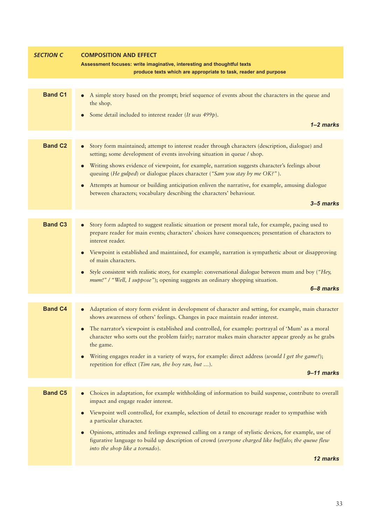| <b>SECTION C</b>                                                                                                                  | <b>COMPOSITION AND EFFECT</b>                                                                                                                                                                                                                                 |  |  |
|-----------------------------------------------------------------------------------------------------------------------------------|---------------------------------------------------------------------------------------------------------------------------------------------------------------------------------------------------------------------------------------------------------------|--|--|
|                                                                                                                                   | Assessment focuses: write imaginative, interesting and thoughtful texts<br>produce texts which are appropriate to task, reader and purpose                                                                                                                    |  |  |
|                                                                                                                                   |                                                                                                                                                                                                                                                               |  |  |
| <b>Band C1</b><br>A simple story based on the prompt; brief sequence of events about the characters in the queue and<br>the shop. |                                                                                                                                                                                                                                                               |  |  |
|                                                                                                                                   | Some detail included to interest reader (It was 499p).<br>$\bullet$                                                                                                                                                                                           |  |  |
|                                                                                                                                   | $1 - 2$ marks                                                                                                                                                                                                                                                 |  |  |
| <b>Band C2</b>                                                                                                                    | Story form maintained; attempt to interest reader through characters (description, dialogue) and<br>setting; some development of events involving situation in queue / shop.                                                                                  |  |  |
|                                                                                                                                   | Writing shows evidence of viewpoint, for example, narration suggests character's feelings about<br>$\bullet$<br>queuing (He gulped) or dialogue places character ("Sam you stay by me OK?").                                                                  |  |  |
|                                                                                                                                   | Attempts at humour or building anticipation enliven the narrative, for example, amusing dialogue<br>$\bullet$<br>between characters; vocabulary describing the characters' behaviour.                                                                         |  |  |
|                                                                                                                                   | 3-5 marks                                                                                                                                                                                                                                                     |  |  |
| <b>Band C3</b>                                                                                                                    | Story form adapted to suggest realistic situation or present moral tale, for example, pacing used to                                                                                                                                                          |  |  |
|                                                                                                                                   | prepare reader for main events; characters' choices have consequences; presentation of characters to<br>interest reader.                                                                                                                                      |  |  |
|                                                                                                                                   | Viewpoint is established and maintained, for example, narration is sympathetic about or disapproving<br>$\bullet$<br>of main characters.                                                                                                                      |  |  |
|                                                                                                                                   | Style consistent with realistic story, for example: conversational dialogue between mum and boy ("Hey,<br>$\bullet$                                                                                                                                           |  |  |
|                                                                                                                                   | mum!" / "Well, I suppose"); opening suggests an ordinary shopping situation.<br>6-8 marks                                                                                                                                                                     |  |  |
|                                                                                                                                   |                                                                                                                                                                                                                                                               |  |  |
| <b>Band C4</b>                                                                                                                    | Adaptation of story form evident in development of character and setting, for example, main character<br>shows awareness of others' feelings. Changes in pace maintain reader interest.                                                                       |  |  |
|                                                                                                                                   | The narrator's viewpoint is established and controlled, for example: portrayal of 'Mum' as a moral<br>character who sorts out the problem fairly; narrator makes main character appear greedy as he grabs<br>the game.                                        |  |  |
|                                                                                                                                   | Writing engages reader in a variety of ways, for example: direct address (would l get the game?);<br>$\bullet$<br>repetition for effect (Tim ran, the boy ran, but ).                                                                                         |  |  |
|                                                                                                                                   | 9-11 marks                                                                                                                                                                                                                                                    |  |  |
| <b>Band C5</b>                                                                                                                    | Choices in adaptation, for example withholding of information to build suspense, contribute to overall<br>impact and engage reader interest.                                                                                                                  |  |  |
|                                                                                                                                   | Viewpoint well controlled, for example, selection of detail to encourage reader to sympathise with<br>$\bullet$<br>a particular character.                                                                                                                    |  |  |
|                                                                                                                                   | Opinions, attitudes and feelings expressed calling on a range of stylistic devices, for example, use of<br>$\bullet$<br>figurative language to build up description of crowd (everyone charged like buffalo; the queue flew<br>into the shop like a tornado). |  |  |
|                                                                                                                                   | 12 marks                                                                                                                                                                                                                                                      |  |  |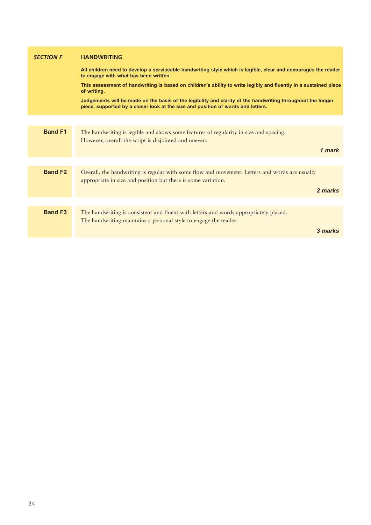| <b>SECTION F</b> | <b>HANDWRITING</b>                                                                                                                                                                              |  |
|------------------|-------------------------------------------------------------------------------------------------------------------------------------------------------------------------------------------------|--|
|                  | All children need to develop a serviceable handwriting style which is legible, clear and encourages the reader<br>to engage with what has been written.                                         |  |
|                  | This assessment of handwriting is based on children's ability to write legibly and fluently in a sustained piece<br>of writing.                                                                 |  |
|                  | Judgements will be made on the basis of the legibility and clarity of the handwriting throughout the longer<br>piece, supported by a closer look at the size and position of words and letters. |  |
|                  |                                                                                                                                                                                                 |  |
| <b>Band F1</b>   | The handwriting is legible and shows some features of regularity in size and spacing.<br>However, overall the script is disjointed and uneven.                                                  |  |
|                  | 1 mark                                                                                                                                                                                          |  |
|                  |                                                                                                                                                                                                 |  |
| <b>Band F2</b>   | Overall, the handwriting is regular with some flow and movement. Letters and words are usually<br>appropriate in size and position but there is some variation.                                 |  |
|                  | 2 marks                                                                                                                                                                                         |  |
|                  |                                                                                                                                                                                                 |  |
| <b>Band F3</b>   | The handwriting is consistent and fluent with letters and words appropriately placed.<br>The handwriting maintains a personal style to engage the reader.                                       |  |
|                  | 3 marks                                                                                                                                                                                         |  |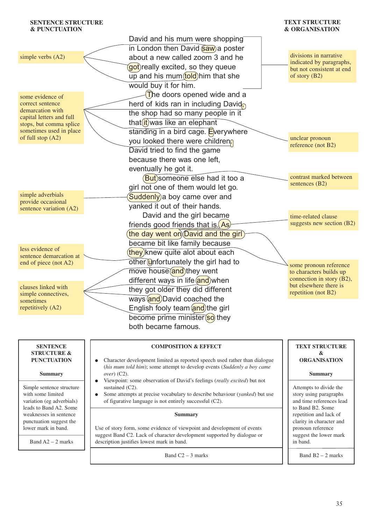| <b>SENTENCE STRUCTURE</b><br><b>&amp; PUNCTUATION</b> |                                                                                                                                                       | <b>TEXT STRUCTURE</b><br><b>&amp; ORGANISATION</b>   |
|-------------------------------------------------------|-------------------------------------------------------------------------------------------------------------------------------------------------------|------------------------------------------------------|
|                                                       | David and his mum were shopping                                                                                                                       |                                                      |
|                                                       | in London then David saw) a poster                                                                                                                    |                                                      |
| simple verbs (A2)                                     | about a new called zoom 3 and he                                                                                                                      | divisions in narrative                               |
|                                                       | got) really excited, so they queue                                                                                                                    | indicated by paragraphs,                             |
|                                                       |                                                                                                                                                       | but not consistent at end<br>of story $(B2)$         |
|                                                       | up and his mum (told) him that she                                                                                                                    |                                                      |
|                                                       | would buy it for him.                                                                                                                                 |                                                      |
| some evidence of                                      | $\sqrt{T}$ he doors opened wide and a                                                                                                                 |                                                      |
| correct sentence<br>demarcation with                  | herd of kids ran in including David                                                                                                                   |                                                      |
| capital letters and full                              | the shop had so many people in it                                                                                                                     |                                                      |
| stops, but comma splice                               | that <i>it</i> ) was like an elephant                                                                                                                 |                                                      |
| sometimes used in place<br>of full stop (A2)          | standing in a bird cage. Everywhere                                                                                                                   |                                                      |
|                                                       | you looked there were children                                                                                                                        | unclear pronoun<br>reference (not B2)                |
|                                                       | David tried to find the game                                                                                                                          |                                                      |
|                                                       | because there was one left,                                                                                                                           |                                                      |
|                                                       | eventually he got it.                                                                                                                                 |                                                      |
|                                                       | But)someone else had it too a                                                                                                                         | contrast marked between                              |
|                                                       | girl not one of them would let go.                                                                                                                    | sentences (B2)                                       |
| simple adverbials                                     | Suddenly) a boy came over and                                                                                                                         |                                                      |
| provide occasional<br>sentence variation (A2)         | yanked it out of their hands.                                                                                                                         |                                                      |
|                                                       | David and the girl became                                                                                                                             | time-related clause                                  |
|                                                       | friends good friends that is $(As)$                                                                                                                   | suggests new section (B2)                            |
|                                                       | the day went on David and the girl                                                                                                                    |                                                      |
|                                                       | became bit like family because                                                                                                                        |                                                      |
| less evidence of                                      | they) knew quite alot about each                                                                                                                      |                                                      |
| sentence demarcation at                               | other <b>Unfortunately</b> the girl had to                                                                                                            |                                                      |
| end of piece (not A2)                                 |                                                                                                                                                       | some pronoun reference                               |
|                                                       | move house and they went                                                                                                                              | to characters builds up<br>connection in story (B2), |
| clauses linked with                                   | different ways in life and when                                                                                                                       | but elsewhere there is                               |
| simple connectives,                                   | they got older they did different                                                                                                                     | repetition (not B2)                                  |
| sometimes                                             | ways and David coached the                                                                                                                            |                                                      |
| repetitively (A2)                                     | English fooly team and the girl                                                                                                                       |                                                      |
|                                                       | become prime minister(so) they                                                                                                                        |                                                      |
|                                                       | both became famous.                                                                                                                                   |                                                      |
|                                                       |                                                                                                                                                       |                                                      |
| <b>SENTENCE</b>                                       | <b>COMPOSITION &amp; EFFECT</b>                                                                                                                       | <b>TEXT STRUCTURE</b>                                |
| <b>STRUCTURE &amp;</b>                                |                                                                                                                                                       | &                                                    |
| <b>PUNCTUATION</b>                                    | Character development limited as reported speech used rather than dialogue<br>(his mum told him); some attempt to develop events (Suddenly a boy came | <b>ORGANISATION</b>                                  |
| <b>Summary</b>                                        | $over)$ (C2).                                                                                                                                         | <b>Summary</b>                                       |
|                                                       | Viewpoint: some observation of David's feelings (really excited) but not                                                                              |                                                      |
| Simple sentence structure<br>with some limited        | sustained (C2).<br>Some attempts at precise vocabulary to describe behaviour (yanked) but use                                                         | Attempts to divide the<br>story using paragraphs     |
| variation (eg adverbials)                             | of figurative language is not entirely successful (C2).                                                                                               | and time references lead                             |
| leads to Band A2. Some                                |                                                                                                                                                       | to Band B2. Some                                     |
| weaknesses in sentence<br>punctuation suggest the     | <b>Summary</b>                                                                                                                                        | repetition and lack of<br>clarity in character and   |
|                                                       |                                                                                                                                                       |                                                      |

Use of story form, some evidence of viewpoint and development of events suggest Band C2. Lack of character development supported by dialogue or description justifies lowest mark in band.

lower mark in band.

Band  $A2 - 2$  marks

Band  $C2 - 3$  marks

pronoun reference suggest the lower mark

Band B2 – 2 marks

in band.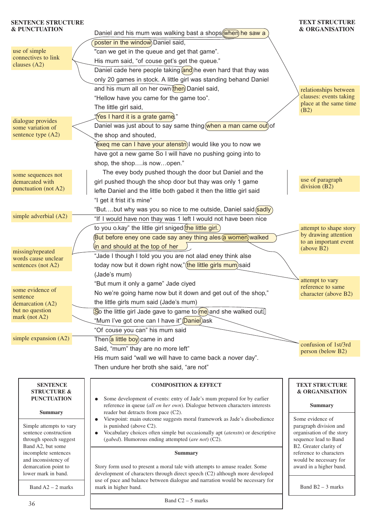#### Daniel and his mum was walking bast a shops when he saw a poster in the window Daniel said. "can we get in the queue and get that game". His mum said, "of couse get's get the queue." Daniel cade here people taking  $\frac{1}{\alpha}$  he even hard that thay was only 20 games in stock. A little girl was standing behand Daniel and his mum all on her own then Daniel said, **TEXT STRUCTURE & ORGANISATION SENTENCE STRUCTURE & PUNCTUATION** use of simple connectives to link clauses (A2) relationships between

"exeq me can I have your atenstn)I would like you to now we have got a new game So I will have no pushing going into to

The evey body pushed though the door but Daniel and the girl pushed though the shop door but thay was only 1 game lefte Daniel and the little both gabed it then the little girl said

"But....but why was you so nice to me outside, Daniel said sadly "If I would have non thay was 1 left I would not have been nice

But before eney one cade say aney thing ales a women walked

No we're going hame now but it down and get out of the shop,"

 $\boxed{\text{So}}$  the little girl Jade gave to game to  $\boxed{\text{me}}$  and she walked out.

"Jade I though I told you you are not alad eney think alse today now but it down right now," (the little girls mum) said

to you o.kay" the little girl sniged  $then$  little girl.)

 $\langle$ in and should at the top of her  $\langle$  ).

"But mum it only a game" Jade ciyed

the little girls mum said (Jade's mum)

"Of couse you can" his mum said  $\overline{\text{Then}}$  a little boy came in and

reader but detracts from pace (C2).

(*gabed*). Humorous ending attempted (*are not*) (C2).

is punished (above C2).

mark in higher band.

"Mum I've got one can I have it" Daniel) ask

"Hellow have you came for the game too".

"Yes I hard it is a grate game." Daniel was just about to say same thing when a man came out) of the shop and shouted,

shop, the shop….is now…open."

The little girl said.

"I get it frist it's mine"

(Jade's mum)

dialogue provides some variation of sentence type (A2)

some sequences not demarcated with punctuation (not A2)

simple adverbial (A2)

missing/repeated words cause unclear sentences (not A2)

some evidence of sentence

demarcation (A2) but no question mark (not A2)

simple expansion (A2)

Said, "mum" thay are no more left" His mum said "wall we will have to came back a nover day". Then undure her broth she said, "are not"

**COMPOSITION & EFFECT**

Viewpoint: main outcome suggests moral framework as Jade's disobedience

● Vocabulary choices often simple but occasionally apt (*atenstn*) or descriptive

**Summary**

Story form used to present a moral tale with attempts to amuse reader. Some development of characters through direct speech (C2) although more developed use of pace and balance between dialogue and narration would be necessary for

● Some development of events: entry of Jade's mum prepared for by earlier reference in queue (*all on her own*). Dialogue between characters interests confusion of 1st/3rd person (below B2)

## **SENTENCE STRUCTURE &**

**PUNCTUATION**

**Summary**

Simple attempts to vary sentence construction through speech suggest Band A2, but some incomplete sentences and inconsistency of demarcation point to lower mark in band.

Band  $A2 - 2$  marks

Band  $C2 - 5$  marks

clauses: events taking place at the same time

use of paragraph division (B2)

attempt to shape story by drawing attention to an important event

(above B2)

attempt to vary reference to same character (above B2)

(B2)

## **TEXT STRUCTURE & ORGANISATION**

## **Summary**

Some evidence of paragraph division and organisation of the story sequence lead to Band B2. Greater clarity of reference to characters would be necessary for award in a higher band.

Band B2 – 3 marks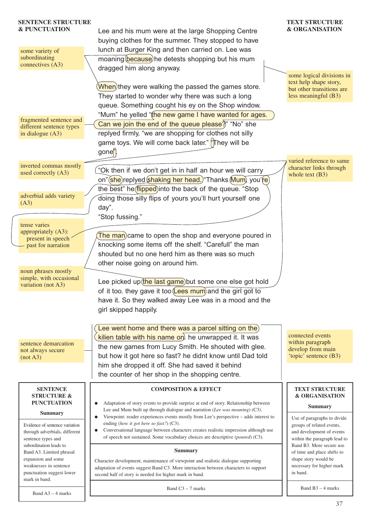| <b>SENTENCE STRUCTURE</b><br><b>&amp; PUNCTUATION</b><br>some variety of                                               | Lee and his mum were at the large Shopping Centre<br>buying clothes for the summer. They stopped to have<br>lunch at Burger King and then carried on. Lee was                                                                                                                                                                         | <b>TEXT STRUCTURE</b><br><b>&amp; ORGANISATION</b>                                                                                                |
|------------------------------------------------------------------------------------------------------------------------|---------------------------------------------------------------------------------------------------------------------------------------------------------------------------------------------------------------------------------------------------------------------------------------------------------------------------------------|---------------------------------------------------------------------------------------------------------------------------------------------------|
| subordinating                                                                                                          | moaning (because) he detests shopping but his mum                                                                                                                                                                                                                                                                                     |                                                                                                                                                   |
| connectives (A3)                                                                                                       | dragged him along anyway.                                                                                                                                                                                                                                                                                                             | some logical divisions in                                                                                                                         |
|                                                                                                                        | When)they were walking the passed the games store.<br>They started to wonder why there was such a long<br>queue. Something cought his ey on the Shop window.                                                                                                                                                                          | text help shape story,<br>but other transitions are<br>less meaningful (B3)                                                                       |
| fragmented sentence and<br>different sentence types<br>in dialogue $(A3)$                                              | "Mum" he yelled "the new game I have wanted for ages.<br>Can we join the end of the queue please?" "No" she<br>replyed firmly, "we are shopping for clothes not silly<br>game toys. We will come back later." "They will be<br>gone <sup>"</sup>                                                                                      |                                                                                                                                                   |
| inverted commas mostly<br>used correctly (A3)                                                                          | "Ok then if we don't get in in half an hour we will carry<br>on"(she)replyed shaking her head.) "Thanks (Mum), you're)                                                                                                                                                                                                                | varied reference to same<br>character links through<br>whole text $(B3)$                                                                          |
| adverbial adds variety<br>(A3)                                                                                         | the best" he <i>(flipped</i> ) into the back of the queue. "Stop<br>doing those silly flips of yours you'll hurt yourself one<br>day".                                                                                                                                                                                                |                                                                                                                                                   |
|                                                                                                                        | "Stop fussing."                                                                                                                                                                                                                                                                                                                       |                                                                                                                                                   |
| tense varies<br>appropriately (A3):<br>present in speech<br>past for narration                                         | The man) came to open the shop and everyone poured in<br>knocking some items off the shelf. "Carefull" the man<br>shouted but no one herd him as there was so much                                                                                                                                                                    |                                                                                                                                                   |
| noun phrases mostly<br>simple, with occasional<br>variation (not A3)                                                   | other noise going on around him.<br>Lee picked up (the last game) but some one else got hold<br>of it too. they gave it too (Lees mum) and the girl got to<br>have it. So they walked away Lee was in a mood and the<br>girl skipped happily.                                                                                         |                                                                                                                                                   |
|                                                                                                                        |                                                                                                                                                                                                                                                                                                                                       |                                                                                                                                                   |
| sentence demarcation<br>not always secure<br>(not A3)                                                                  | Lee went home and there was a parcel sitting on the)<br>kilien table with his name on. he unwrapped it. It was<br>the new games from Lucy Smith. He shouted with glee.<br>but how it got here so fast? he didnt know until Dad told<br>him she dropped it off. She had saved it behind                                                | connected events<br>within paragraph<br>develop from main<br>'topic' sentence (B3)                                                                |
|                                                                                                                        | the counter of her shop in the shopping centre.                                                                                                                                                                                                                                                                                       |                                                                                                                                                   |
| <b>SENTENCE</b><br><b>STRUCTURE &amp;</b>                                                                              | <b>COMPOSITION &amp; EFFECT</b>                                                                                                                                                                                                                                                                                                       | TEXT STRUCTURE<br><b>&amp; ORGANISATION</b>                                                                                                       |
| <b>PUNCTUATION</b><br><b>Summary</b>                                                                                   | Adaptation of story events to provide surprise at end of story. Relationship between<br>Lee and Mum built up through dialogue and narration (Lee was moaning) (C3).                                                                                                                                                                   | <b>Summary</b>                                                                                                                                    |
| Evidence of sentence variation<br>through adverbials, different<br>sentence types and<br>subordination leads to        | Viewpoint: reader experiences events mostly from Lee's perspective - adds interest to<br>$\bullet$<br>ending (how it got here so fast?) (C3).<br>Conversational language between characters creates realistic impression although use<br>$\bullet$<br>of speech not sustained. Some vocabulary choices are descriptive (poured) (C3). | Use of paragraphs to divide<br>groups of related events,<br>and development of events<br>within the paragraph lead to<br>Band B3. More secure use |
| Band A3. Limited phrasal<br>expansion and some<br>weaknesses in sentence<br>punctuation suggest lower<br>mark in band. | <b>Summary</b><br>Character development, maintenance of viewpoint and realistic dialogue supporting<br>adaptation of events suggest Band C3. More interaction between characters to support<br>second half of story is needed for higher mark in band.                                                                                | of time and place shifts to<br>shape story would be<br>necessary for higher mark<br>in band.                                                      |
| Band $A3 - 4$ marks                                                                                                    | Band $C3 - 7$ marks                                                                                                                                                                                                                                                                                                                   | Band $B3 - 4$ marks                                                                                                                               |
|                                                                                                                        |                                                                                                                                                                                                                                                                                                                                       | $\overline{\mathcal{L}}$                                                                                                                          |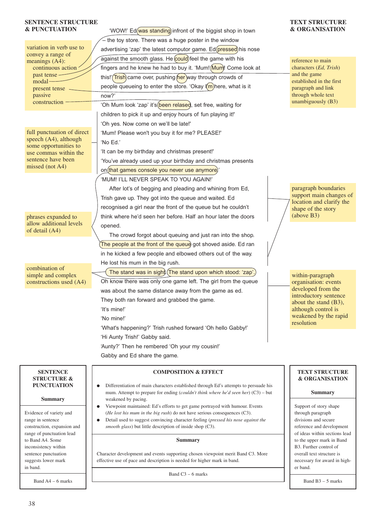### **SENTENCE STRUCTURE & PUNCTUATION**

| <b>&amp; PUNCTUATION</b>                       | 'WOW!' Ed(was standing) infront of the biggist shop in town                                                                                                                | <b>&amp; ORGANISATION</b>                           |
|------------------------------------------------|----------------------------------------------------------------------------------------------------------------------------------------------------------------------------|-----------------------------------------------------|
|                                                | $-$ the toy store. There was a huge poster in the window                                                                                                                   |                                                     |
| variation in verb use to                       | advertising 'zap' the latest computor game. Ed(pressed) his nose                                                                                                           |                                                     |
| convey a range of<br>meanings (A4):            | against the smooth glass. He could) feel the game with his                                                                                                                 | reference to main                                   |
| continuous action                              | fingers and he knew he had to buy it. 'Mum! (Mum)! Come look at                                                                                                            | characters (Ed, Trish)                              |
| past tense -                                   | this!'(Trish) came over, pushing (her) way through crowds of                                                                                                               | and the game                                        |
| modal-<br>present tense                        | people queueing to enter the store. 'Okay I(m) here, what is it                                                                                                            | established in the first<br>paragraph and link      |
| passive                                        | now?'                                                                                                                                                                      | through whole text                                  |
| construction -                                 | 'Oh Mum look 'zap' it's (been relased, set free, waiting for                                                                                                               | unambiguously (B3)                                  |
|                                                | children to pick it up and enjoy hours of fun playing it!'                                                                                                                 |                                                     |
|                                                | 'Oh yes. Now come on we'll be late!'                                                                                                                                       |                                                     |
| full punctuation of direct                     | 'Mum! Please won't you buy it for me? PLEASE!'                                                                                                                             |                                                     |
| speech (A4), although                          | 'No Ed.'                                                                                                                                                                   |                                                     |
| some opportunities to<br>use commas within the | 'It can be my birthday and christmas present!'                                                                                                                             |                                                     |
| sentence have been                             | 'You've already used up your birthday and christmas presents                                                                                                               |                                                     |
| missed (not A4)                                | on that games console you never use anymore)                                                                                                                               |                                                     |
|                                                | 'MUM! I'LL NEVER SPEAK TO YOU AGAIN!'                                                                                                                                      |                                                     |
|                                                | After lot's of begging and pleading and whining from Ed,                                                                                                                   | paragraph boundaries                                |
|                                                | Trish gave up. They got into the queue and waited. Ed                                                                                                                      | support main changes of                             |
|                                                | recognised a girl near the front of the queue but he couldn't                                                                                                              | location and clarify the                            |
| phrases expanded to                            | think where he'd seen her before. Half an hour later the doors                                                                                                             | shape of the story<br>(above B3)                    |
| allow additional levels                        | opened.                                                                                                                                                                    |                                                     |
| of detail (A4)                                 | The crowd forgot about queuing and just ran into the shop.                                                                                                                 |                                                     |
|                                                | The people at the front of the queue got shoved aside. Ed ran                                                                                                              |                                                     |
|                                                | in he kicked a few people and elbowed others out of the way.                                                                                                               |                                                     |
|                                                | He lost his mum in the big rush.                                                                                                                                           |                                                     |
| combination of                                 | The stand was in sight). (The stand upon which stood: 'zap'                                                                                                                |                                                     |
| simple and complex<br>constructions used (A4)  | Oh know there was only one game left. The girl from the queue                                                                                                              | within-paragraph<br>organisation: events            |
|                                                | was about the same distance away from the game as ed.                                                                                                                      | developed from the                                  |
|                                                | They both ran forward and grabbed the game.                                                                                                                                | introductory sentence                               |
|                                                | 'It's mine!'                                                                                                                                                               | about the stand (B3),<br>although control is        |
|                                                | 'No mine!'                                                                                                                                                                 | weakened by the rapid                               |
|                                                | 'What's happening?' Trish rushed forward 'Oh hello Gabby!'                                                                                                                 | resolution                                          |
|                                                | 'Hi Aunty Trish!' Gabby said.                                                                                                                                              |                                                     |
|                                                | 'Aunty?' Then he rembered 'Oh your my cousin!'                                                                                                                             |                                                     |
|                                                | Gabby and Ed share the game.                                                                                                                                               |                                                     |
|                                                |                                                                                                                                                                            |                                                     |
| <b>SENTENCE</b>                                | <b>COMPOSITION &amp; EFFECT</b>                                                                                                                                            | <b>TEXT STRUCTURE</b>                               |
| <b>STRUCTURE &amp;</b>                         |                                                                                                                                                                            | <b>&amp; ORGANISATION</b>                           |
| <b>PUNCTUATION</b>                             | Differentiation of main characters established through Ed's attempts to persuade his<br>mum. Attempt to prepare for ending (couldn't think where he'd seen her) (C3) - but | <b>Summary</b>                                      |
| <b>Summary</b>                                 | weakened by pacing.                                                                                                                                                        |                                                     |
|                                                | Viewpoint maintained: Ed's efforts to get game portrayed with humour. Events                                                                                               | Support of story shape                              |
| Evidence of variety and<br>range in sentence   | (He lost his mum in the big rush) do not have serious consequences $(C3)$ .<br>Detail used to suggest convincing character feeling (pressed his nose against the           | through paragraph<br>divisions and secure           |
| construction, expansion and                    | smooth glass) but little description of inside shop (C3).                                                                                                                  | reference and development                           |
| range of punctuation lead                      |                                                                                                                                                                            | of ideas within sections lead                       |
| to Band A4. Some<br>inconsistency within       | <b>Summary</b>                                                                                                                                                             | to the upper mark in Band<br>B3. Further control of |
| sentence punctuation                           | Character development and events supporting chosen viewpoint merit Band C3. More                                                                                           | overall text structure is                           |
| suggests lower mark                            | effective use of pace and description is needed for higher mark in band.                                                                                                   | necessary for award in high-                        |
| in band.                                       | Band $C3 - 6$ marks                                                                                                                                                        | er band.                                            |
| Band $A4 - 6$ marks                            |                                                                                                                                                                            | Band $B3 - 5$ marks                                 |
|                                                |                                                                                                                                                                            |                                                     |

**TEXT STRUCTURE**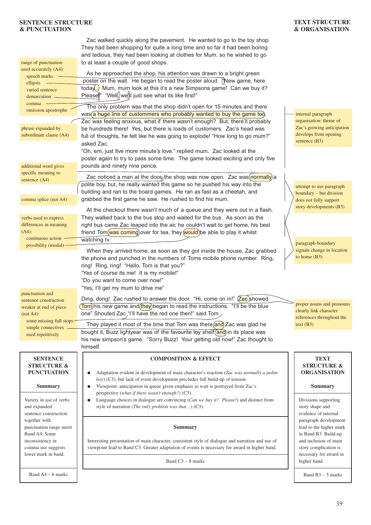### **SENTENCE STRUCTURE & PUNCTUATION**

| TEXT STRUCTURE |
|----------------|
| & ORGANISATION |

|                                           | Zac walked quickly along the pavement. He wanted to go to the toy shop.                                                                                      |                                                   |
|-------------------------------------------|--------------------------------------------------------------------------------------------------------------------------------------------------------------|---------------------------------------------------|
|                                           | They had been shopping for quite a long time and so far it had been boring                                                                                   |                                                   |
| range of punctuation                      | and tedious, they had been looking at clothes for Mum. so he wished to go<br>to at least a couple of good shops.                                             |                                                   |
| used accurately (A4):                     |                                                                                                                                                              |                                                   |
| speech marks                              | As he approached the shop, his attention was drawn to a bright green<br>poster on the wall. He began to read the poster aloud. "New game, here               |                                                   |
| ellipsis $-$                              | today) Mum, mum look at this it's a new Simpsons game! Can we buy it?                                                                                        |                                                   |
| varied sentence<br>demarcation            | Please <sup>"</sup> "Well, we'll just see what its like first!"                                                                                              |                                                   |
| comma                                     | The only problem was that the shop didn't open for 15 minutes and there                                                                                      |                                                   |
| omission apostrophe                       | was a huge line of custommers who probably wanted to buy the game too.                                                                                       | internal paragraph                                |
|                                           | Zac was feeling anxious, what if there wasn't enough? But, there'll probably                                                                                 | organisation: theme of                            |
| phrase expanded by                        | be hundreds there! Yes, but there is loads of customers. Zac's head was                                                                                      | Zac's growing anticipation                        |
| subordinate clause (A4)                   | full of thoughts, he felt like he was going to explode! "How long to go mum?"                                                                                | develops from opening<br>sentence (B3)            |
|                                           | asked Zac.                                                                                                                                                   |                                                   |
|                                           | "Oh, em, just five more minute's love." replied mum. Zac looked at the                                                                                       |                                                   |
| additional word gives                     | poster again to try to pass some time. The game looked exciting and only five<br>pounds and ninety nine pence.                                               |                                                   |
| specific meaning to                       |                                                                                                                                                              |                                                   |
| sentence (A4)                             | Zac noticed a man at the door the shop was now open. Zac was (normally) a                                                                                    |                                                   |
|                                           | polite boy, but, he really wanted this game so he pushed his way into the<br>building and ran to the board games. He ran as fast as a cheetah, and           | attempt to use paragraph                          |
| comma splice (not A4)                     | grabbed the first game he saw. He rushed to find his mum.                                                                                                    | boundary - but division<br>does not fully support |
|                                           |                                                                                                                                                              | story developments (B3)                           |
| verbs used to express                     | At the checkout there wasn't much of a queue and they were out in a flash.<br>They walked back to the bus stop and waited for the bus. As soon as the        |                                                   |
| differences in meaning                    | right bus came Zac leaped into the air, he couldn't wait to get home, his best                                                                               |                                                   |
| $(A4)$ :                                  | friend Tom(was coming) over for tea, they (would) be able to play it whilst                                                                                  |                                                   |
| continuous action                         | watching tv.                                                                                                                                                 | paragraph boundary                                |
| possibility (modal)                       | When they arrived home, as soon as they got inside the house, Zac grabbed                                                                                    | signals change in location                        |
|                                           | the phone and punched in the numbers of Toms mobile phone number. Ring,                                                                                      | to home $(B3)$                                    |
|                                           | ring! Ring, ring! "Hello, Tom is that you?"                                                                                                                  |                                                   |
|                                           | "Yes of course its me! It is my mobile!"                                                                                                                     |                                                   |
|                                           | "Do you want to come over now!"                                                                                                                              |                                                   |
| punctuation and                           | "Yes, I'll get my mum to drive me"                                                                                                                           |                                                   |
| sentence construction                     | Ding, dong! Zac rushed to answer the door. "Hi, come on in!" <b>Zac</b> showed                                                                               | proper nouns and pronouns                         |
| weaker at end of piece                    | (Tom) his new game and (they) began to read the instructions. "I'll be the blue<br>one" Shouted Zac, 'I'll have the red one then!" said Tom                  | clearly link character                            |
| (not A4):<br>some missing full stops-     |                                                                                                                                                              | references throughout the                         |
| simple connectives -                      | They played it most of the time that Tom was there(and) Zac was glad he                                                                                      | text (B3)                                         |
| used repetitively                         | bought it, Buzz lightyear was of the favourite toy shelf and) in its place was<br>his new simpson's game. "Sorry Buzz! Your getting old now!" Zac thought to |                                                   |
|                                           | himself.                                                                                                                                                     |                                                   |
|                                           |                                                                                                                                                              |                                                   |
| <b>SENTENCE</b><br><b>STRUCTURE &amp;</b> | <b>COMPOSITION &amp; EFFECT</b>                                                                                                                              | <b>TEXT</b><br><b>STRUCTURE &amp;</b>             |
| <b>PUNCTUATION</b>                        | Adaptation evident in development of main character's reaction (Zac was normally a polite                                                                    | <b>ORGANISATION</b>                               |
|                                           | $boy$ ) (C3), but lack of event development precludes full build-up of tension.                                                                              |                                                   |
| <b>Summary</b>                            | Viewpoint: anticipation in queue given emphasis as wait is portrayed from Zac's<br>$\bullet$                                                                 | <b>Summary</b>                                    |
| Variety in use of verbs                   | perspective (what if there wasn't enough?) (C3).<br>Language choices in dialogue are convincing (Can we buy it? Please!) and distinct from                   | Divisions supporting                              |
| and expanded                              | style of narration (The only problem was that) (C3).                                                                                                         | story shape and                                   |
| sentence construction                     |                                                                                                                                                              | evidence of internal                              |
| together with                             |                                                                                                                                                              | paragraph development                             |
| punctuation range merit<br>Band A4. Some  | <b>Summary</b>                                                                                                                                               | lead to the higher mark<br>in Band B3. Build-up   |
| inconsistency in                          | Interesting presentation of main character, consistent style of dialogue and narration and use of                                                            | and inclusion of main                             |
| comma use suggests                        | viewpoint lead to Band C3. Greater adaptation of events is necessary for award in higher band.                                                               | story complication is                             |
| lower mark in band.                       | Band $C3 - 8$ marks                                                                                                                                          | necessary for award in<br>higher band.            |
|                                           |                                                                                                                                                              |                                                   |
| Band $A4 - 6$ marks                       |                                                                                                                                                              | Band $B3 - 5$ marks                               |
|                                           |                                                                                                                                                              |                                                   |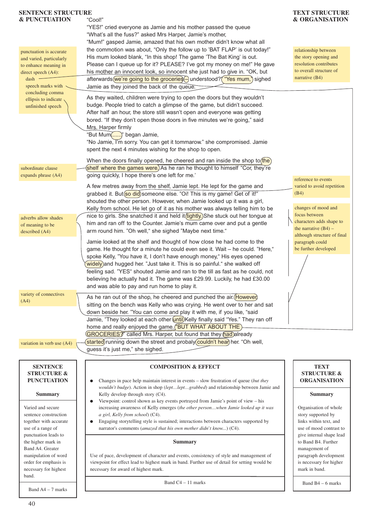| <b>SENTENCE STRUCTURE</b>                           |                                                                                                                                                                                | <b>TEXT STRUCTURE</b>                               |
|-----------------------------------------------------|--------------------------------------------------------------------------------------------------------------------------------------------------------------------------------|-----------------------------------------------------|
| <b>&amp; PUNCTUATION</b>                            | "Cool!"<br>"YES!" cried everyone as Jamie and his mother passed the queue                                                                                                      | <b>&amp; ORGANISATION</b>                           |
|                                                     | "What's all the fuss?" asked Mrs Harper, Jamie's mother,                                                                                                                       |                                                     |
|                                                     | "Mum!" gasped Jamie, amazed that his own mother didn't know what all                                                                                                           |                                                     |
|                                                     | the commotion was about, "Only the follow up to 'BAT FLAP' is out today!"                                                                                                      | relationship between                                |
| punctuation is accurate<br>and varied, particularly | His mum looked blank, "In this shop! The game 'The Bat King' is out.                                                                                                           | the story opening and                               |
| to enhance meaning in                               | Please can I queue up for it? PLEASE? I've got my money on me!" He gave                                                                                                        | resolution contributes                              |
| direct speech $(A4)$ :                              | his mother an innocent look, so innocent she just had to give in. "OK, but                                                                                                     | to overall structure of                             |
| dash                                                | afterwards (we're going to the groceries   understood? ("Yes mum,") sighed                                                                                                     | narrative $(B4)$                                    |
| speech marks with                                   | Jamie as they joined the back of the queue.                                                                                                                                    |                                                     |
| concluding comma                                    | As they waited, children were trying to open the doors but they wouldn't                                                                                                       |                                                     |
| ellipsis to indicate<br>unfinished speech           | budge. People tried to catch a glimpse of the game, but didn't succeed.                                                                                                        |                                                     |
|                                                     | After half an hour, the store still wasn't open and everyone was getting                                                                                                       |                                                     |
|                                                     | bored. "If they don't open those doors in five minutes we're going," said                                                                                                      |                                                     |
|                                                     | Mrs. Harper firmly                                                                                                                                                             |                                                     |
|                                                     | "But Mum()" began Jamie,                                                                                                                                                       |                                                     |
|                                                     | "No Jamie, I'm sorry. You can get it tommarow." she compromised. Jamie                                                                                                         |                                                     |
|                                                     | spent the next 4 minutes wishing for the shop to open.                                                                                                                         |                                                     |
|                                                     | When the doors finally opened, he cheered and ran inside the shop to $(he)$                                                                                                    |                                                     |
| subordinate clause                                  | shelf where the games were. As he ran he thought to himself "Cor, they're                                                                                                      |                                                     |
| expands phrase (A4)                                 | going quickly, I hope there's one left for me.'                                                                                                                                |                                                     |
|                                                     | A few metres away from the shelf, Jamie lept. He lept for the game and                                                                                                         | reference to events<br>varied to avoid repetition   |
|                                                     | grabbed it. But(so did) someone else. "Oi! This is my game! Get of it!"                                                                                                        | (B4)                                                |
|                                                     | shouted the other person. However, when Jamie looked up it was a girl,                                                                                                         |                                                     |
|                                                     | Kelly from school. He let go of it as his mother was always telling him to be                                                                                                  | changes of mood and                                 |
| adverbs allow shades                                | nice to girls. She snatched it and held it (tightly) She stuck out her tongue at                                                                                               | focus between                                       |
| of meaning to be                                    | him and ran off to the Counter. Jamie's mum came over and put a gentle                                                                                                         | characters adds shape to                            |
| described (A4)                                      | arm round him. "Oh well," she sighed "Maybe next time."                                                                                                                        | the narrative $(B4)$ –                              |
|                                                     | Jamie looked at the shelf and thought of how close he had come to the                                                                                                          | although structure of final<br>paragraph could      |
|                                                     | game. He thought for a minute he could even see it. Wait - he could. "Here,"                                                                                                   | be further developed                                |
|                                                     | spoke Kelly, "You have it, I don't have enough money," His eyes opened                                                                                                         |                                                     |
|                                                     | widely) and hugged her. "Just take it. This is so painful." she walked off                                                                                                     |                                                     |
|                                                     | feeling sad. "YES" shouted Jamie and ran to the till as fast as he could, not                                                                                                  |                                                     |
|                                                     | believing he actually had it. The game was £29.99. Luckily, he had £30.00                                                                                                      |                                                     |
|                                                     | and was able to pay and run home to play it.                                                                                                                                   |                                                     |
| variety of connectives                              | As he ran out of the shop, he cheered and punched the air. (However)                                                                                                           |                                                     |
| (A4)                                                | sitting on the bench was Kelly who was crying. He went over to her and sat                                                                                                     |                                                     |
|                                                     | down beside her. "You can come and play it with me, if you like, "said                                                                                                         |                                                     |
|                                                     | Jamie, "They looked at each other <i>(until)</i> Kelly finally said "Yes." They ran off                                                                                        |                                                     |
|                                                     | home and really enjoyed the game. <b>"BUT WHAT ABOUT THE</b> )                                                                                                                 |                                                     |
|                                                     | <b>GROCERIES</b> <sup>y</sup> called Mrs. Harper, but found that they had already                                                                                              |                                                     |
| variation in verb use (A4)                          | started) running down the street and probaly couldn't hear) her. "Oh well,                                                                                                     |                                                     |
|                                                     | guess it's just me," she sighed.                                                                                                                                               |                                                     |
|                                                     |                                                                                                                                                                                |                                                     |
| <b>SENTENCE</b>                                     | <b>COMPOSITION &amp; EFFECT</b>                                                                                                                                                | <b>TEXT</b>                                         |
| <b>STRUCTURE &amp;</b>                              |                                                                                                                                                                                | <b>STRUCTURE &amp;</b>                              |
| <b>PUNCTUATION</b>                                  | Changes in pace help maintain interest in events - slow frustration of queue (but they<br>wouldn't budge). Action in shop (leptleptgrabbed) and relationship between Jamie and | <b>ORGANISATION</b>                                 |
| <b>Summary</b>                                      | Kelly develop through story (C4).                                                                                                                                              | <b>Summary</b>                                      |
|                                                     | Viewpoint: control shown as key events portrayed from Jamie's point of view - his                                                                                              |                                                     |
| Varied and secure                                   | increasing awareness of Kelly emerges (the other personwhen Jamie looked up it was                                                                                             | Organisation of whole                               |
| sentence construction                               | a girl, Kelly from school) (C4).                                                                                                                                               | story supported by                                  |
| together with accurate                              | Engaging storytelling style is sustained; interactions between characters supported by                                                                                         | links within text, and                              |
| use of a range of<br>punctuation leads to           | narrator's comments (amazed that his own mother didn't know) (C4).                                                                                                             | use of mood contrast to<br>give internal shape lead |
| the higher mark in                                  | <b>Summary</b>                                                                                                                                                                 | to Band B4. Further                                 |
| Band A4. Greater                                    |                                                                                                                                                                                | management of                                       |
| manipulation of word                                | Use of pace, development of character and events, consistency of style and management of                                                                                       | paragraph development                               |
| order for emphasis is                               | viewpoint for effect lead to highest mark in band. Further use of detail for setting would be                                                                                  | is necessary for higher                             |
| necessary for highest                               | necessary for award of highest mark.                                                                                                                                           | mark in band.                                       |
| band.                                               | Band $C4 - 11$ marks                                                                                                                                                           | Band $B4 - 6$ marks                                 |
| Band $A4 - 7$ marks                                 |                                                                                                                                                                                |                                                     |
|                                                     |                                                                                                                                                                                |                                                     |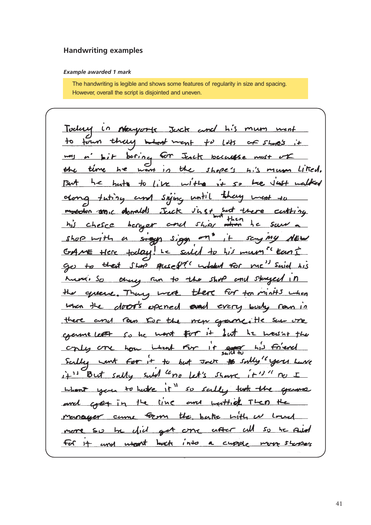## **Handwriting examples**

#### *Example awarded 1 mark*

The handwriting is legible and shows some features of regularity in size and spacing. However, overall the script is disjointed and uneven.

Today in Newyork Jack and his mum ment to four they what ment to lots of shop's it mas a bit bering for Jesek because mest of the time he went in the shope's hi's mum Liked. But he hats to like with it so the last natted clong tuting and siging until they went to modelon and c donalds Just inst set there cutting and ship withen he saw his chesce bereser shop with a sign sign on" it saying NEW CrAME Here today! Le said to his mum? Eant go to that Shop places it when the me" said his Munio So thing Fun to the shop and staged in the queene. Though were there for too minits when when the door's opened and every budy ran in and row for the new game, He sure one there come left so he wont for it but he cry one how intent for it and <u>در ہ</u> Scilly cent for it to but Jack # sally "you have But sally suld "no let's share  $\frac{1}{1} + \frac{1}{1}$  $1 + 11$ when you to have it" so sailly task the grams and cost in the line and withich Then the came from the batte with merneyer more so be gid got one after <u>citt</u> So he Redd For it and what buck into a cupple more storpers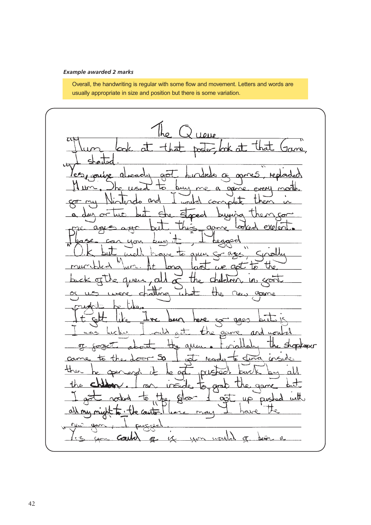## *Example awarded 2 marks*

Overall, the handwriting is regular with some flow and movement. Letters and words are usually appropriate in size and position but there is some variation.

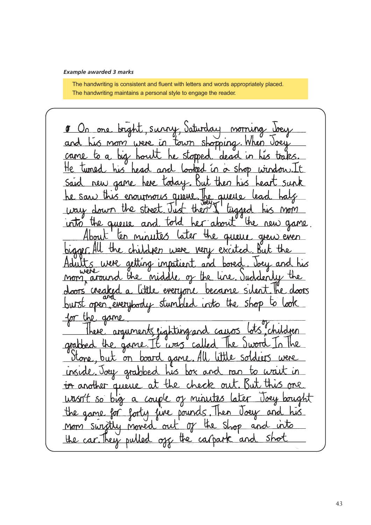## *Example awarded 3 marks*

The handwriting is consistent and fluent with letters and words appropriately placed. The handwriting maintains a personal style to engage the reader.

<u>On one bright, survy, Saturday</u> norruna and his mom were in town shopping. When Joe  $bias$ stopped came to <u>houtt</u>  $\overline{a}$ . dead ۳٥  $hix$ tuned He Śh head hed new game Said hone today <u>but</u> saw this enourmous awell  $\Omega$ . way down the st  $\ddot{\mathbf{t}}$ then أمن hư< MmM into the queue an told the new game <u>"about</u>  $\boldsymbol{0}$ About ten n Later  $\Omega$ the guerre grew even <u>very excited</u> bigger the  $ch$ **INDONE** Were actura inpatient <u>boned</u> <u>his</u> and <u>and</u> or the line Mid mon aroun the everyone became Cheak doors open, everybod 5 into the game tingand arabbed  $\overline{a}$ **Jd**  $\mathcal{C}$ Stone  $\leq$  $\sigma r$ board  $\Omega$  $J<sub>o</sub>e<sub>u</sub>$ grabbes unsud ther aueric  $\mathbf{H}$ m  $\mathbf{u}$ δo bis  $\alpha$  $\sigma$  $\omega$ Voew and the <u>fot</u> Dow game J non switty <u>and</u> into moved ou the car. They pulled <u>Sho</u> the ca/pa  $\alpha$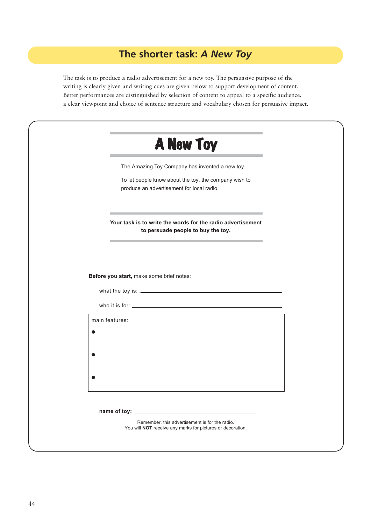## **The shorter task:** *A New Toy*

The task is to produce a radio advertisement for a new toy. The persuasive purpose of the writing is clearly given and writing cues are given below to support development of content. Better performances are distinguished by selection of content to appeal to a specific audience, a clear viewpoint and choice of sentence structure and vocabulary chosen for persuasive impact.

| A New Toy                                                                                                    |
|--------------------------------------------------------------------------------------------------------------|
| The Amazing Toy Company has invented a new toy.                                                              |
| To let people know about the toy, the company wish to<br>produce an advertisement for local radio.           |
| Your task is to write the words for the radio advertisement<br>to persuade people to buy the toy.            |
| Before you start, make some brief notes:                                                                     |
|                                                                                                              |
|                                                                                                              |
| main features:<br>●                                                                                          |
|                                                                                                              |
|                                                                                                              |
|                                                                                                              |
|                                                                                                              |
| Remember, this advertisement is for the radio.<br>You will NOT receive any marks for pictures or decoration. |
|                                                                                                              |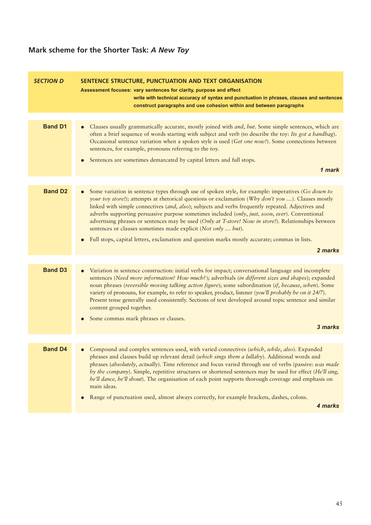## **Mark scheme for the Shorter Task:** *A New Toy*

| <b>SECTION D</b> | SENTENCE STRUCTURE, PUNCTUATION AND TEXT ORGANISATION<br>Assessment focuses: vary sentences for clarity, purpose and effect<br>write with technical accuracy of syntax and punctuation in phrases, clauses and sentences<br>construct paragraphs and use cohesion within and between paragraphs                                                                                                                                                                                                                                                                                                         |
|------------------|---------------------------------------------------------------------------------------------------------------------------------------------------------------------------------------------------------------------------------------------------------------------------------------------------------------------------------------------------------------------------------------------------------------------------------------------------------------------------------------------------------------------------------------------------------------------------------------------------------|
|                  |                                                                                                                                                                                                                                                                                                                                                                                                                                                                                                                                                                                                         |
| <b>Band D1</b>   | Clauses usually grammatically accurate, mostly joined with <i>and</i> , but. Some simple sentences, which are<br>often a brief sequence of words starting with subject and verb (to describe the toy: Its got a handbag).<br>Occasional sentence variation when a spoken style is used (Get one now!). Some connections between<br>sentences, for example, pronouns referring to the toy.<br>Sentences are sometimes demarcated by capital letters and full stops.                                                                                                                                      |
|                  | 1 mark                                                                                                                                                                                                                                                                                                                                                                                                                                                                                                                                                                                                  |
|                  |                                                                                                                                                                                                                                                                                                                                                                                                                                                                                                                                                                                                         |
| <b>Band D2</b>   | Some variation in sentence types through use of spoken style, for example: imperatives (Go down to<br>$\bullet$<br>your toy store!); attempts at rhetorical questions or exclamation (Why don't you ). Clauses mostly<br>linked with simple connectives (and, also); subjects and verbs frequently repeated. Adjectives and<br>adverbs supporting persuasive purpose sometimes included (only, just, soon, ever). Conventional<br>advertising phrases or sentences may be used (Only at T-store! Now in store!). Relationships between<br>sentences or clauses sometimes made explicit (Not only  but). |
|                  | Full stops, capital letters, exclamation and question marks mostly accurate; commas in lists.<br>$\bullet$                                                                                                                                                                                                                                                                                                                                                                                                                                                                                              |
|                  | 2 marks                                                                                                                                                                                                                                                                                                                                                                                                                                                                                                                                                                                                 |
|                  |                                                                                                                                                                                                                                                                                                                                                                                                                                                                                                                                                                                                         |
| <b>Band D3</b>   | Variation in sentence construction: initial verbs for impact; conversational language and incomplete<br>sentences (Need more information? How much?); adverbials (in different sizes and shapes); expanded<br>noun phrases (reversible moving talking action figure); some subordination (if, because, when). Some<br>variety of pronouns, for example, to refer to speaker, product, listener (you'll probably be on it 24/7).<br>Present tense generally used consistently. Sections of text developed around topic sentence and similar<br>content grouped together.                                 |
|                  | Some commas mark phrases or clauses.<br>$\bullet$                                                                                                                                                                                                                                                                                                                                                                                                                                                                                                                                                       |
|                  | 3 marks                                                                                                                                                                                                                                                                                                                                                                                                                                                                                                                                                                                                 |
|                  |                                                                                                                                                                                                                                                                                                                                                                                                                                                                                                                                                                                                         |
| <b>Band D4</b>   | Compound and complex sentences used, with varied connectives (which, while, also). Expanded<br>phrases and clauses build up relevant detail (which sings them a lullaby). Additional words and<br>phrases (absolutely, actually). Time reference and focus varied through use of verbs (passive: was made<br>by the company). Simple, repetitive structures or shortened sentences may be used for effect (He'll sing,<br>he'll dance, he'll shout). The organisation of each point supports thorough coverage and emphasis on<br>main ideas.                                                           |
|                  | Range of punctuation used, almost always correctly, for example brackets, dashes, colons.<br>$\bullet$<br>4 marks                                                                                                                                                                                                                                                                                                                                                                                                                                                                                       |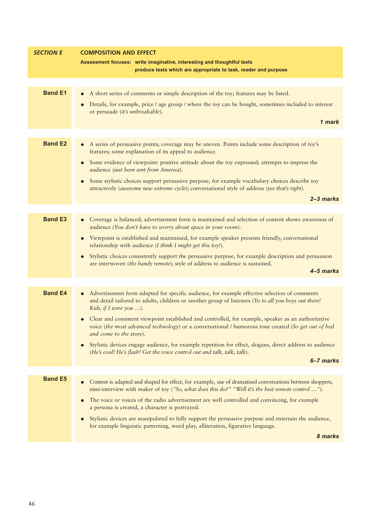| <b>SECTION E</b> | <b>COMPOSITION AND EFFECT</b>                                                                                                                                                                                                   |
|------------------|---------------------------------------------------------------------------------------------------------------------------------------------------------------------------------------------------------------------------------|
|                  | Assessment focuses: write imaginative, interesting and thoughtful texts                                                                                                                                                         |
|                  | produce texts which are appropriate to task, reader and purpose                                                                                                                                                                 |
|                  |                                                                                                                                                                                                                                 |
| <b>Band E1</b>   | A short series of comments or simple description of the toy; features may be listed.<br>$\bullet$                                                                                                                               |
|                  | Details, for example, price / age group / where the toy can be bought, sometimes included to interest                                                                                                                           |
|                  | or persuade (it's unbreakable).                                                                                                                                                                                                 |
|                  | 1 mark                                                                                                                                                                                                                          |
|                  |                                                                                                                                                                                                                                 |
| <b>Band E2</b>   | A series of persuasive points; coverage may be uneven. Points include some description of toy's<br>features; some explanation of its appeal to audience.                                                                        |
|                  | Some evidence of viewpoint: positive attitude about the toy expressed; attempts to impress the<br>audience (just been sent from America).                                                                                       |
|                  | Some stylistic choices support persuasive purpose, for example vocabulary choices describe toy<br>attractively (awesome new extreme cycle); conversational style of address (yes that's right).                                 |
|                  | $2 - 3$ marks                                                                                                                                                                                                                   |
|                  |                                                                                                                                                                                                                                 |
| <b>Band E3</b>   | Coverage is balanced; advertisement form is maintained and selection of content shows awareness of<br>audience (You don't have to worry about space in your room).                                                              |
|                  | Viewpoint is established and maintained, for example speaker presents friendly, conversational<br>relationship with audience (I think I might get this toy!).                                                                   |
|                  | Stylistic choices consistently support the persuasive purpose, for example description and persuasion                                                                                                                           |
|                  | are interwoven (the handy remote); style of address to audience is sustained.<br>4–5 marks                                                                                                                                      |
|                  |                                                                                                                                                                                                                                 |
|                  |                                                                                                                                                                                                                                 |
| <b>Band E4</b>   | Advertisement form adapted for specific audience, for example effective selection of comments<br>and detail tailored to adults, children or another group of listeners (Yo to all you boys out there!<br>Kids, if I were you ). |
|                  | • Clear and consistent viewpoint established and controlled, for example, speaker as an authoritative                                                                                                                           |
|                  | voice (the most advanced technology) or a conversational / humorous tone created (So get out of bed<br>and come to the store).                                                                                                  |
|                  | Stylistic devices engage audience, for example repetition for effect, slogans, direct address to audience<br>(He's cool! He's flash! Get the voice control out and talk, talk, talk).                                           |
|                  | 6-7 marks                                                                                                                                                                                                                       |
| <b>Band E5</b>   |                                                                                                                                                                                                                                 |
|                  | Content is adapted and shaped for effect, for example, use of dramatised conversations between shoppers,<br>mini-interview with maker of toy ("So, what does this do?" "Well it's the best remote control ").                   |
|                  | The voice or voices of the radio advertisement are well controlled and convincing, for example<br>a persona is created, a character is portrayed.                                                                               |
|                  | Stylistic devices are manipulated to fully support the persuasive purpose and entertain the audience,<br>for example linguistic patterning, word play, alliteration, figurative language.                                       |
|                  | 8 marks                                                                                                                                                                                                                         |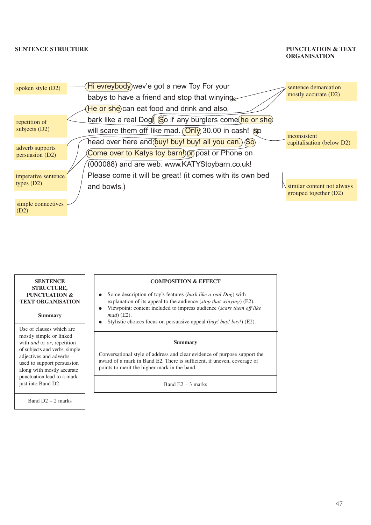## **ORGANISATION**



#### **SENTENCE STRUCTURE, PUNCTUATION & TEXT ORGANISATION**

**Summary**

Use of clauses which are mostly simple or linked with *and* or *or*, repetition of subjects and verbs, simple adjectives and adverbs used to support persuasion along with mostly accurate punctuation lead to a mark just into Band D2.

Band D2 – 2 marks

#### **COMPOSITION & EFFECT**

- Some description of toy's features (*bark like a real Dog*) with explanation of its appeal to the audience (*stop that winying*) (E2).
- Viewpoint: content included to impress audience (*scare them off like mad*) (E2).
- Stylistic choices focus on persuasive appeal (*buy! buy! buy!*) (E2).

#### **Summary**

Conversational style of address and clear evidence of purpose support the award of a mark in Band E2. There is sufficient, if uneven, coverage of points to merit the higher mark in the band.

Band  $E2 - 3$  marks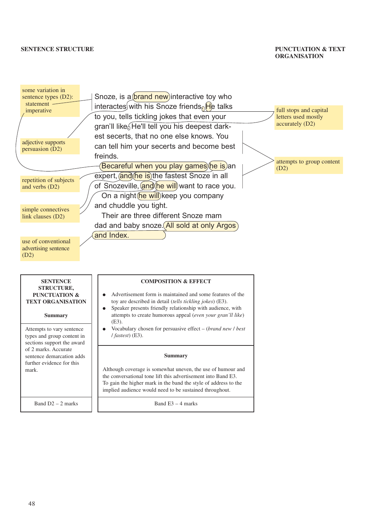## **ORGANISATION**

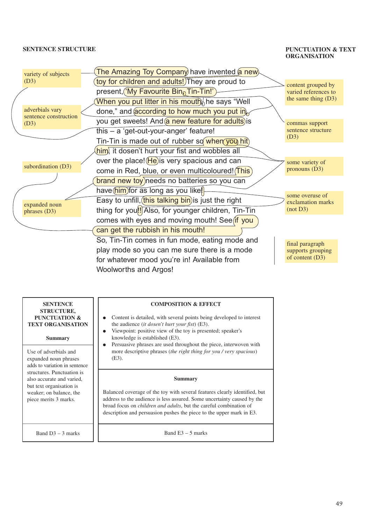## **ORGANISATION**



| <b>SENTENCE</b><br><b>STRUCTURE,</b><br>PUNCTUATION &<br><b>TEXT ORGANISATION</b><br><b>Summary</b> | <b>COMPOSITION &amp; EFFECT</b><br>Content is detailed, with several points being developed to interest<br>the audience <i>(it dosen't hurt your fist)</i> (E3).<br>Viewpoint: positive view of the toy is presented; speaker's<br>knowledge is established (E3).<br>Persuasive phrases are used throughout the piece, interwoven with |  |  |
|-----------------------------------------------------------------------------------------------------|----------------------------------------------------------------------------------------------------------------------------------------------------------------------------------------------------------------------------------------------------------------------------------------------------------------------------------------|--|--|
| Use of adverbials and                                                                               | $\bullet$                                                                                                                                                                                                                                                                                                                              |  |  |
| expanded noun phrases                                                                               | more descriptive phrases (the right thing for you / very spacious)                                                                                                                                                                                                                                                                     |  |  |
| adds to variation in sentence                                                                       | $(E3)$ .                                                                                                                                                                                                                                                                                                                               |  |  |
| structures. Punctuation is                                                                          | <b>Summary</b>                                                                                                                                                                                                                                                                                                                         |  |  |
| also accurate and varied,                                                                           | Balanced coverage of the toy with several features clearly identified, but                                                                                                                                                                                                                                                             |  |  |
| but text organisation is                                                                            | address to the audience is less assured. Some uncertainty caused by the                                                                                                                                                                                                                                                                |  |  |
| weaker; on balance, the                                                                             | broad focus on <i>children and adults</i> , but the careful combination of                                                                                                                                                                                                                                                             |  |  |
| piece merits 3 marks.                                                                               | description and persuasion pushes the piece to the upper mark in E3.                                                                                                                                                                                                                                                                   |  |  |
| Band $D3 - 3$ marks                                                                                 | Band $E3 - 5$ marks                                                                                                                                                                                                                                                                                                                    |  |  |

49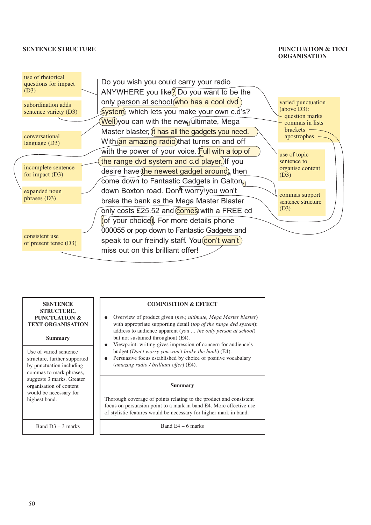## **ORGANISATION**



## **SENTENCE STRUCTURE, PUNCTUATION & TEXT ORGANISATION Summary** Use of varied sentence structure, further supported by punctuation including commas to mark phrases, suggests 3 marks. Greater organisation of content would be necessary for

**COMPOSITION & EFFECT**

- Overview of product given (*new, ultimate, Mega Master blaster*) with appropriate supporting detail (*top of the range dvd system*); address to audience apparent (*you … the only person at school*) but not sustained throughout (E4).
- Viewpoint: writing gives impression of concern for audience's budget (*Don't worry you won't brake the bank*) (E4).
- Persuasive focus established by choice of positive vocabulary (*amazing radio / brilliant offer*) (E4).

#### **Summary**

Thorough coverage of points relating to the product and consistent focus on persuasion point to a mark in band E4. More effective use of stylistic features would be necessary for higher mark in band.

Band D3 – 3 marks

highest band.

Band E4 – 6 marks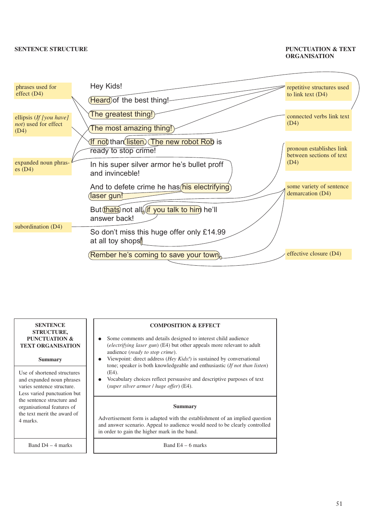## **ORGANISATION**



| <b>SENTENCE</b><br><b>STRUCTURE,</b><br>PUNCTUATION &<br><b>TEXT ORGANISATION</b>                                                       | <b>COMPOSITION &amp; EFFECT</b><br>Some comments and details designed to interest child audience<br>$\bullet$<br><i>(electrifying laser gun)</i> (E4) but other appeals more relevant to adult<br>audience ( <i>ready to stop crime</i> ).                                                                         |
|-----------------------------------------------------------------------------------------------------------------------------------------|--------------------------------------------------------------------------------------------------------------------------------------------------------------------------------------------------------------------------------------------------------------------------------------------------------------------|
| <b>Summary</b><br>Use of shortened structures<br>and expanded noun phrases<br>varies sentence structure.<br>Less varied punctuation but | Viewpoint: direct address ( <i>Hey Kids!</i> ) is sustained by conversational<br>$\bullet$<br>tone; speaker is both knowledgeable and enthusiastic (If not than listen)<br>(E4).<br>Vocabulary choices reflect persuasive and descriptive purposes of text<br>$\bullet$<br>(super silver armor / huge offer) (E4). |
| the sentence structure and<br>organisational features of<br>the text merit the award of<br>4 marks.                                     | <b>Summary</b><br>Advertisement form is adapted with the establishment of an implied question<br>and answer scenario. Appeal to audience would need to be clearly controlled<br>in order to gain the higher mark in the band.                                                                                      |
| Band $D4 - 4$ marks                                                                                                                     | Band $E4 - 6$ marks                                                                                                                                                                                                                                                                                                |

51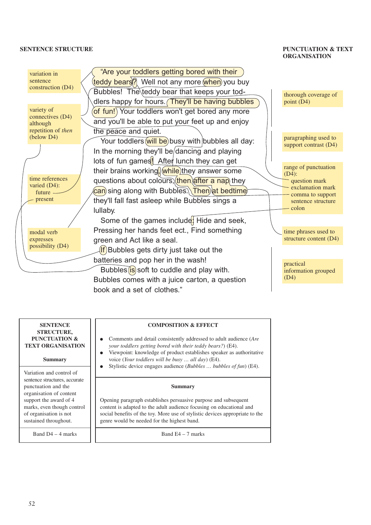## **ORGANISATION**



### **SENTENCE STRUCTURE, PUNCTUATION & TEXT ORGANISATION**

#### **Summary**

Variation and control of sentence structures, accurate punctuation and the organisation of content support the award of 4 marks, even though control of organisation is not sustained throughout.

Band D4 – 4 marks

#### **COMPOSITION & EFFECT**

- Comments and detail consistently addressed to adult audience (*Are your toddlers getting bored with their teddy bears?*) (E4).
- Viewpoint: knowledge of product establishes speaker as authoritative voice (*Your toddlers will be busy … all day*) (E4).
- Stylistic device engages audience (*Bubbles … bubbles of fun*) (E4).

#### **Summary**

Opening paragraph establishes persuasive purpose and subsequent content is adapted to the adult audience focusing on educational and social benefits of the toy. More use of stylistic devices appropriate to the genre would be needed for the highest band.

Band E4 – 7 marks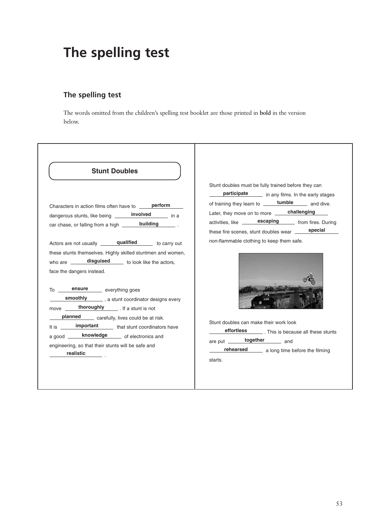## **The spelling test**

## **The spelling test**

The words omitted from the children's spelling test booklet are those printed in **bold** in the version below.

| <b>Stunt Doubles</b>                                                                                                                                                                                                                                                                                                                                                                                                                                                                                                                                                                     |                                                                                                                                                                                                                                                                                                                                                                                       |
|------------------------------------------------------------------------------------------------------------------------------------------------------------------------------------------------------------------------------------------------------------------------------------------------------------------------------------------------------------------------------------------------------------------------------------------------------------------------------------------------------------------------------------------------------------------------------------------|---------------------------------------------------------------------------------------------------------------------------------------------------------------------------------------------------------------------------------------------------------------------------------------------------------------------------------------------------------------------------------------|
| Characters in action films often have to ______ perform<br>dangerous stunts, like being ______ <b>involved</b> _____ in a<br>car chase, or falling from a high _______ <b>building</b> ________.                                                                                                                                                                                                                                                                                                                                                                                         | Stunt doubles must be fully trained before they can<br>participate in any films. In the early stages<br>of training they learn to ______ <b>tumble</b> ______ and dive.<br>Later, they move on to more ______ challenging<br>activities, like <b>escaping</b> from fires. During<br>these fire scenes, stunt doubles wear ______ special<br>non-flammable clothing to keep them safe. |
| Actors are not usually <b>qualified</b> to carry out<br>these stunts themselves. Highly skilled stuntmen and women,<br>who are _______ disguised ______ to look like the actors,<br>face the dangers instead.<br>To ______ ensure _____ everything goes<br>smoothly ________ , a stunt coordinator designs every<br>move thoroughly [if a stunt is not<br>planned carefully, lives could be at risk.<br>It is <b>important</b> that stunt coordinators have<br>a good _____ <b>knowledge</b> _____ of electronics and<br>engineering, so that their stunts will be safe and<br>realistic | Stunt doubles can make their work look<br>effortless _________. This is because all these stunts<br>are put <b>together</b> and<br>rehearsed ______ a long time before the filming<br>starts.                                                                                                                                                                                         |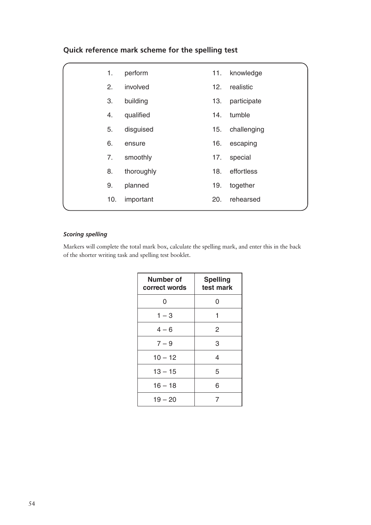| Quick reference mark scheme for the spelling test |  |  |  |
|---------------------------------------------------|--|--|--|
|---------------------------------------------------|--|--|--|

| 1.  | perform    | 11. | knowledge   |
|-----|------------|-----|-------------|
| 2.  | involved   | 12. | realistic   |
| 3.  | building   | 13. | participate |
| 4.  | qualified  | 14. | tumble      |
| 5.  | disguised  | 15. | challenging |
| 6.  | ensure     | 16. | escaping    |
| 7.  | smoothly   | 17. | special     |
| 8.  | thoroughly | 18. | effortless  |
| 9.  | planned    | 19. | together    |
| 10. | important  | 20. | rehearsed   |
|     |            |     |             |

## *Scoring spelling*

Markers will complete the total mark box, calculate the spelling mark, and enter this in the back of the shorter writing task and spelling test booklet.

| Number of<br>correct words | <b>Spelling</b><br>test mark |
|----------------------------|------------------------------|
| 0                          | 0                            |
| $1 - 3$                    | 1                            |
| $4 - 6$                    | 2                            |
| $7 - 9$                    | 3                            |
| $10 - 12$                  | 4                            |
| $13 - 15$                  | 5                            |
| $16 - 18$                  | 6                            |
| $19 - 20$                  | 7                            |